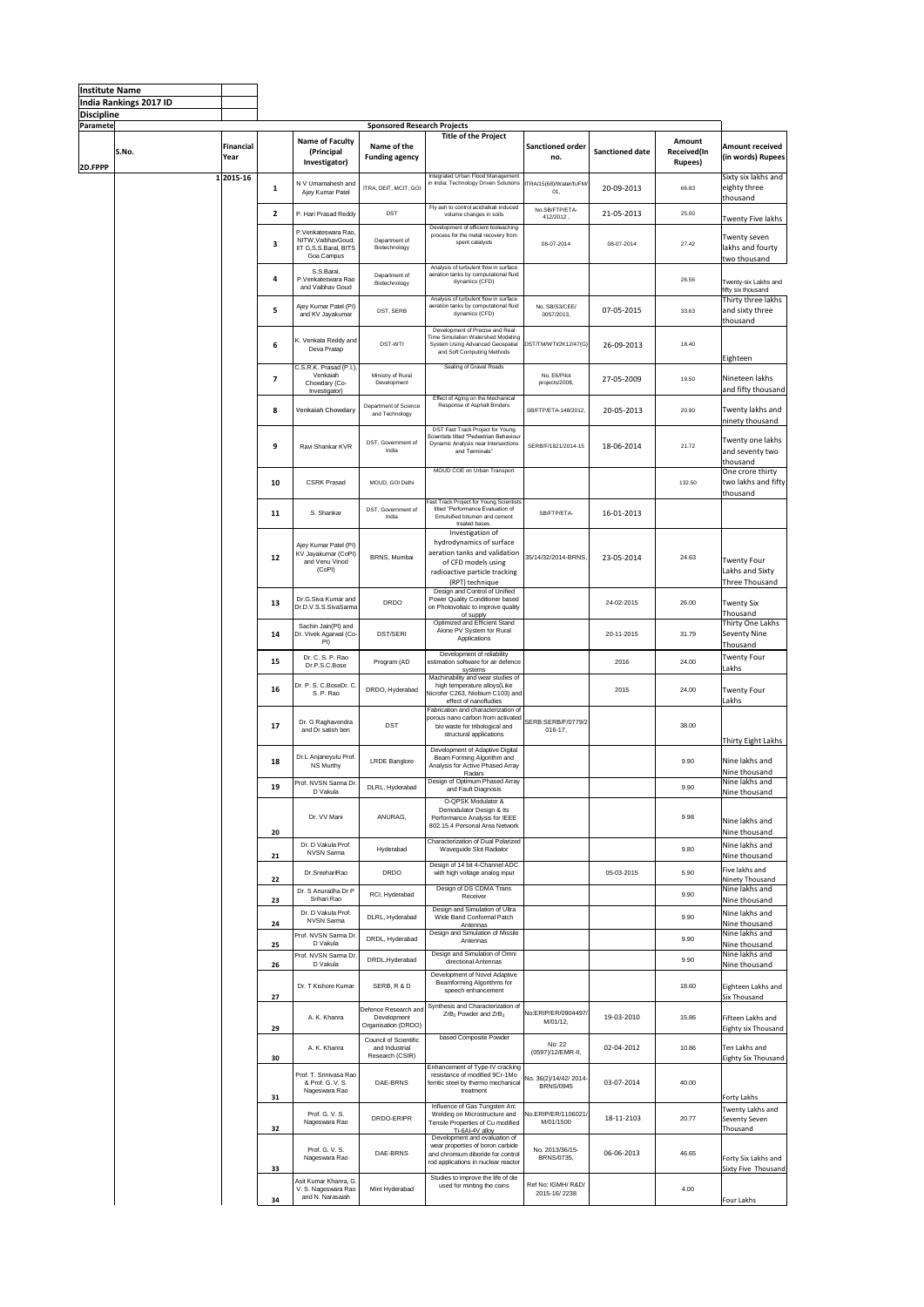| <b>Institute Name</b> | <b>India Rankings 2017 ID</b> |           |                         |                                                                                  |                                                                       |                                                                                                                                                          |                                           |                        |                                |                                                                    |
|-----------------------|-------------------------------|-----------|-------------------------|----------------------------------------------------------------------------------|-----------------------------------------------------------------------|----------------------------------------------------------------------------------------------------------------------------------------------------------|-------------------------------------------|------------------------|--------------------------------|--------------------------------------------------------------------|
| <b>Discipline</b>     |                               |           |                         |                                                                                  |                                                                       |                                                                                                                                                          |                                           |                        |                                |                                                                    |
| Paramete              |                               | Financial |                         | <b>Name of Faculty</b>                                                           | <b>Sponsored Research Projects</b><br>Name of the                     | <b>Title of the Project</b>                                                                                                                              | <b>Sanctioned order</b>                   |                        | <b>Amount</b>                  | <b>Amount received</b>                                             |
| 2D.FPPP               | S.No.                         | Year      |                         | (Principal<br>Investigator)                                                      | <b>Funding agency</b>                                                 |                                                                                                                                                          | no.                                       | <b>Sanctioned date</b> | Received(In<br><b>Rupees</b> ) | (in words) Rupees                                                  |
|                       |                               | 12015-16  | $\mathbf{1}$            | N V Umamahesh and<br>Ajey Kumar Patel                                            | ITRA, DEIT, MCIT, GOI                                                 | Integrated Urban Flood Management<br>in India: Technology Driven Solutions                                                                               | ITRA/15(68)/Water/IUFM/<br>01,            | 20-09-2013             | 66.83                          | Sixty six lakhs and<br>eighty three<br>thousand                    |
|                       |                               |           | $\overline{2}$          | P. Hari Prasad Reddy                                                             | <b>DST</b>                                                            | Fly ash to control acid/alkali induced<br>volume changes in soils                                                                                        | No.SB/FTP/ETA-<br>412/2012.               | 21-05-2013             | 25.00                          | Twenty Five lakhs                                                  |
|                       |                               |           | $\overline{\mathbf{3}}$ | P.Venkateswara Rao,<br>NITW, VaibhavGoud,<br>IIT G,S.S.Baral, BITS<br>Goa Campus | Department of<br>Biotechnology                                        | Development of efficient bioleaching<br>process for the metal recovery from<br>spent catalysts                                                           | 08-07-2014                                | 08-07-2014             | 27.42                          | Twenty seven<br>lakhs and fourty<br>two thousand                   |
|                       |                               |           | 4                       | S.S.Baral,<br>P.Venkateswara Rao<br>and Vaibhav Goud                             | Department of<br>Biotechnology                                        | Analysis of turbulent flow in surface<br>aeration tanks by computational fluid<br>dynamics (CFD)                                                         |                                           |                        | 26.56                          | Twenty-six Lakhs and<br>fifty six thousand                         |
|                       |                               |           | 5                       | Ajey Kumar Patel (PI)<br>and KV Jayakumar                                        | DST, SERB                                                             | Analysis of turbulent flow in surface<br>aeration tanks by computational fluid<br>dynamics (CFD)                                                         | No. SB/S3/CEE/<br>0057/2013,              | 07-05-2015             | 33.63                          | Thirty three lakhs<br>and sixty three<br>thousand                  |
|                       |                               |           | 6                       | K. Venkata Reddy and<br>Deva Pratap                                              | <b>DST-WTI</b>                                                        | Development of Precise and Real<br>Time Simulation Watershed Modeling<br>System Using Advanced Geospatial<br>and Soft Computing Methods                  | DST/TM/WTI/2K12/47(G)                     | 26-09-2013             | 18.40                          | Eighteen                                                           |
|                       |                               |           | $\overline{\mathbf{z}}$ | C.S.R.K. Prasad (P.I.),<br>Venkaiah<br>Chowdary (Co-<br>Investigator)            | Ministry of Rural<br>Development                                      | Sealing of Gravel Roads                                                                                                                                  | No. E6/Pilot<br>projects/2008,            | 27-05-2009             | 19.50                          | Nineteen lakhs<br>and fifty thousand                               |
|                       |                               |           | 8                       | <b>Venkaiah Chowdary</b>                                                         | Department of Science<br>and Technology                               | Effect of Aging on the Mechanical<br>Response of Asphalt Binders                                                                                         | SB/FTP/ETA-148/2012,                      | 20-05-2013             | 20.90                          | Twenty lakhs and<br>ninety thousand                                |
|                       |                               |           | 9                       | Ravi Shankar KVR                                                                 | DST, Government of<br>India                                           | DST Fast Track Project for Young<br>Scientists titled "Pedestrian Behaviour<br>Dynamic Analysis near Intersections<br>and Terminals"                     | SERB/F/1821/2014-15                       | 18-06-2014             | 21.72                          | Twenty one lakhs<br>and seventy two<br>thousand                    |
|                       |                               |           | 10                      | <b>CSRK Prasad</b>                                                               | MOUD, GOI Delhi                                                       | MOUD COE on Urban Transport                                                                                                                              |                                           |                        | 132.50                         | One crore thirty<br>two lakhs and fifty<br>thousand                |
|                       |                               |           | 11                      | S. Shankar                                                                       | DST, Government of<br>India                                           | Fast Track Project for Young Scientists<br>titled "Performance Evaluation of<br>Emulsified bitumen and cement<br>treated bases.                          | SB/FTP/ETA-                               | 16-01-2013             |                                |                                                                    |
|                       |                               |           | 12                      | Ajey Kumar Patel (PI)<br>KV Jayakumar (CoPI)<br>and Venu Vinod<br>(CoPI)         | BRNS, Mumbai                                                          | Investigation of<br>hydrodynamics of surface<br>aeration tanks and validation<br>of CFD models using<br>radioactive particle tracking<br>(RPT) technique | 35/14/32/2014-BRNS,                       | 23-05-2014             | 24.63                          | <b>Twenty Four</b><br>Lakhs and Sixty<br>Three Thousand            |
|                       |                               |           | 13                      | Dr.G.Siva Kumar and<br>Dr.D.V.S.S.SivaSarma                                      | <b>DRDO</b>                                                           | Design and Control of Unified<br>Power Quality Conditioner based<br>on Photovoltaic to improve quality                                                   |                                           | 24-02-2015             | 26.00                          | <b>Twenty Six</b><br>Thousand                                      |
|                       |                               |           | 14                      | Sachin Jain(PI) and<br>Dr. Vivek Agarwal (Co-<br>P()                             | <b>DST/SERI</b>                                                       | of supply<br>Optimized and Efficient Stand<br>Alone PV System for Rural<br>Applications                                                                  |                                           | 20-11-2015             | 31.79                          | Thirty One Lakhs<br><b>Seventy Nine</b><br>Thousand                |
|                       |                               |           | 15                      | Dr. C. S. P. Rao<br>Dr.P.S.C.Bose                                                | Program (AD                                                           | Development of reliability<br>estimation software for air defence<br>systems                                                                             |                                           | 2016                   | 24.00                          | <b>Twenty Four</b><br>Lakhs                                        |
|                       |                               |           | 16                      | Dr. P. S. C.BoseDr. C<br>S. P. Rao                                               | DRDO, Hyderabad                                                       | Machinability and wear studies of<br>high temperature alloys(Like<br>Nicrofer C263, Niobium C103) and<br>effect of nanofludies                           |                                           | 2015                   | 24.00                          | Twenty Four<br>Lakhs                                               |
|                       |                               |           | 17                      | Dr. G Raghavendra<br>and Dr satish ben                                           | <b>DST</b>                                                            | Fabrication and characterization of<br>porous nano carbon from activated SERB:SERB/F/0779/2<br>bio waste for tribological and<br>structural applications | $016-17,$                                 |                        | 38.00                          | Thirty Eight Lakhs                                                 |
|                       |                               |           | 18                      | Dr.L Anjaneyulu Prof.<br>NS Murthy                                               | <b>LRDE Banglore</b>                                                  | Development of Adaptive Digital<br>Beam Forming Algorithm and<br>Analysis for Active Phased Array<br>Radars                                              |                                           |                        | 9.90                           | Nine lakhs and<br>Nine thousand                                    |
|                       |                               |           | 19                      | Prof. NVSN Sarma Dr.<br>D Vakula                                                 | DLRL, Hyderabad                                                       | Design of Optimum Phased Array<br>and Fault Diagnosis                                                                                                    |                                           |                        | 9.90                           | Nine lakhs and<br>Nine thousand                                    |
|                       |                               |           | 20                      | Dr. VV Mani                                                                      | ANURAG,                                                               | O-QPSK Modulator &<br>Demodulator Design & Its<br>Performance Analysis for IEEE<br>802.15.4 Personal Area Network                                        |                                           |                        | 9.98                           | Nine lakhs and<br>Nine thousand                                    |
|                       |                               |           | 21                      | Dr. D Vakula Prof.<br>NVSN Sarma                                                 | Hyderabad                                                             | Characterization of Dual Polarized<br>Waveguide Slot Radiator                                                                                            |                                           |                        | 9.80                           | Nine lakhs and<br>Nine thousand                                    |
|                       |                               |           |                         | Dr.SreehariRao                                                                   | <b>DRDO</b>                                                           | Design of 14 bit 4-Channel ADC<br>with high voltage analog input                                                                                         |                                           | 05-03-2015             | 5.90                           | Five lakhs and                                                     |
|                       |                               |           | 22                      | Dr. S Anuradha Dr P<br>Srihari Rao                                               | RCI, Hyderabad                                                        | Design of DS CDMA Trans<br>Receiver                                                                                                                      |                                           |                        | 9.90                           | Ninety Thousand<br>Nine lakhs and                                  |
|                       |                               |           | 23<br>24                | Dr. D Vakula Prof.<br><b>NVSN Sarma</b>                                          | DLRL, Hyderabad                                                       | Design and Simulation of Ultra<br>Wide Band Conformal Patch<br>Antennas<br>Design and Simulation of Missile                                              |                                           |                        | 9.90                           | Nine thousand<br>Nine lakhs and<br>Nine thousand<br>Nine lakhs and |
|                       |                               |           | 25                      | Prof. NVSN Sarma Dr.<br>D Vakula                                                 | DRDL, Hyderabad                                                       | Antennas<br>Design and Simulation of Omni                                                                                                                |                                           |                        | 9.90                           | Nine thousand<br>Nine lakhs and                                    |
|                       |                               |           | 26                      | Prof. NVSN Sarma Dr.<br>D Vakula<br>Dr. T Kishore Kumar                          | DRDL, Hyderabad<br>SERB, R & D                                        | directional Antennas<br>Development of Novel Adaptive<br>Beamforming Algorithms for                                                                      |                                           |                        | 9.90<br>18.60                  | Nine thousand<br>Eighteen Lakhs and                                |
|                       |                               |           | 27                      | A. K. Khanra                                                                     | Defence Research and<br>Development                                   | speech enhancement<br>Synthesis and Characterization of<br>$ZrB2$ Powder and $ZrB2$                                                                      | No:ERIP/ER/0904497/<br>M/01/12,           | 19-03-2010             | 15.86                          | <b>Six Thousand</b><br>Fifteen Lakhs and                           |
|                       |                               |           | 29                      | A. K. Khanra                                                                     | Organisation (DRDO)<br><b>Council of Scientific</b><br>and Industrial | based Composite Powder                                                                                                                                   | No: 22<br>(0597)/12/EMR-II,               | 02-04-2012             | 10.86                          | Eighty six Thousand<br>Ten Lakhs and                               |
|                       |                               |           | 30                      | Prof. T. Srinivasa Rao<br>& Prof. G. V. S.                                       | Research (CSIR)<br>DAE-BRNS                                           | Enhancement of Type-IV cracking<br>resistance of modified 9Cr-1Mo<br>ferritic steel by thermo mechanical                                                 | No. 36(2)/14/42/2014-<br><b>BRNS/0945</b> | 03-07-2014             | 40.00                          | <b>Eighty Six Thousand</b>                                         |
|                       |                               |           | 31                      | Nageswara Rao                                                                    |                                                                       | treatment<br>Influence of Gas Tungsten Arc                                                                                                               |                                           |                        |                                | Forty Lakhs                                                        |
|                       |                               |           | 32                      | Prof. G. V. S.<br>Nageswara Rao                                                  | DRDO-ERIPR                                                            | Welding on Microstructure and<br>Tensile Properties of Cu modified<br>Ti-6Al-4V alloy<br>Development and evaluation of                                   | No.ERIP/ER/1106021/<br>M/01/1500          | 18-11-2103             | 20.77                          | Twenty Lakhs and<br><b>Seventy Seven</b><br>Thousand               |
|                       |                               |           | 33                      | Prof. G. V. S.<br>Nageswara Rao                                                  | DAE-BRNS                                                              | wear properties of boron carbide<br>and chromium diboride for control<br>rod applications in nuclear reactor<br>Studies to improve the life of die       | No. 2013/36/15-<br>BRNS/0735,             | 06-06-2013             | 46.65                          | Forty Six Lakhs and<br>Sixty Five Thousand                         |
|                       |                               |           | 34                      | Asit Kumar Khanra, G.<br>V. S. Nageswara Rao<br>and N. Narasaiah                 | Mint Hyderabad                                                        | used for minting the coins                                                                                                                               | Ref No: IGMH/R&D/<br>2015-16/2238         |                        | 4.00                           | Four Lakhs                                                         |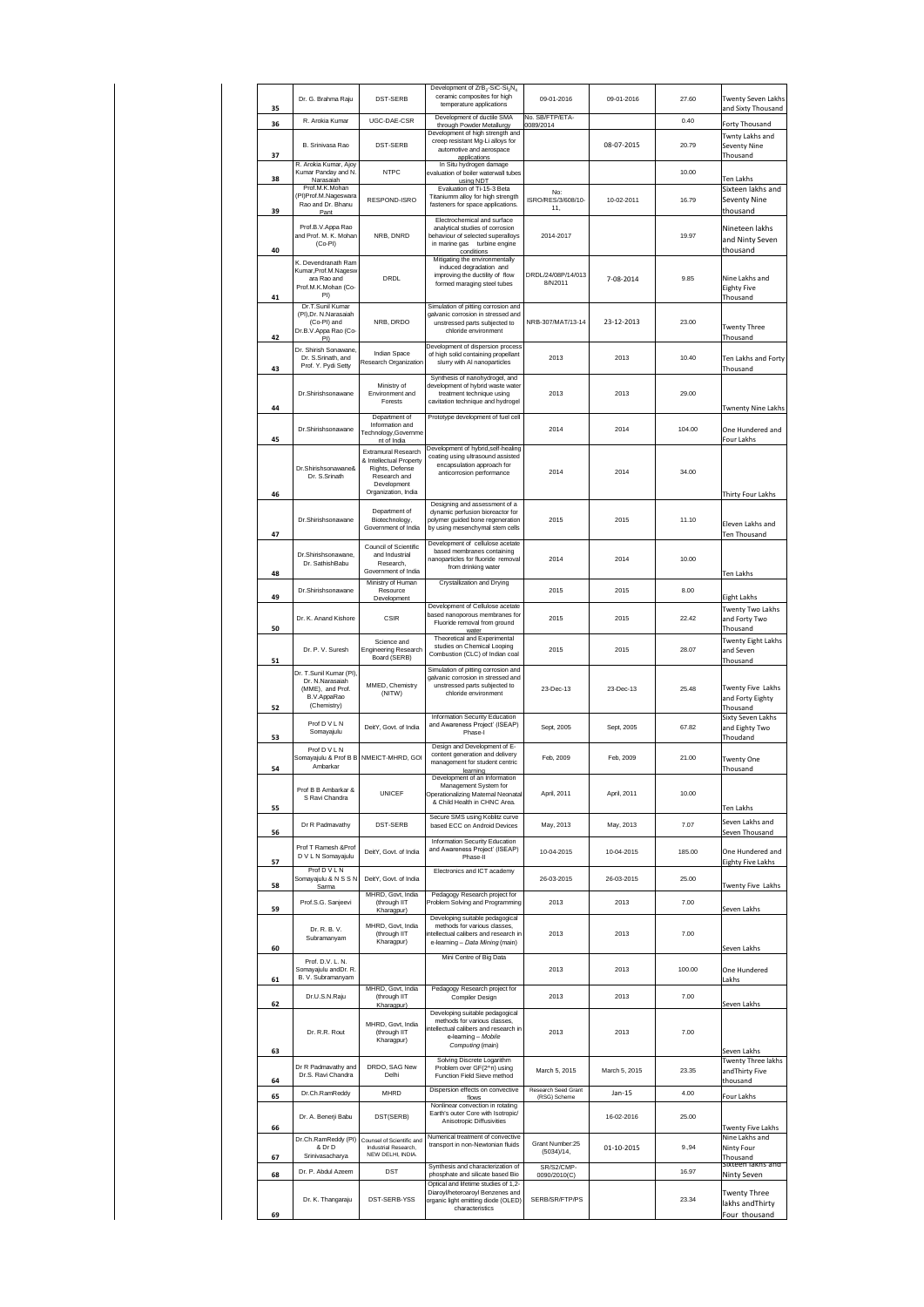| 35       | Dr. G. Brahma Raju                                                                           | DST-SERB                                                                                                                       | Development of ZrB <sub>2</sub> -SiC-Si <sub>3</sub> N <sub>4</sub><br>ceramic composites for high<br>temperature applications                      | 09-01-2016                          | 09-01-2016    | 27.60  | Twenty Seven Lakhs<br>and Sixty Thousand                         |
|----------|----------------------------------------------------------------------------------------------|--------------------------------------------------------------------------------------------------------------------------------|-----------------------------------------------------------------------------------------------------------------------------------------------------|-------------------------------------|---------------|--------|------------------------------------------------------------------|
| 36       | R. Arokia Kumar                                                                              | UGC-DAE-CSR                                                                                                                    | Development of ductile SMA<br>through Powder Metallurgy                                                                                             | No. SB/FTP/ETA-<br>0089/2014        |               | 0.40   | Forty Thousand                                                   |
| 37       | B. Srinivasa Rao                                                                             | DST-SERB                                                                                                                       | Development of high strength and<br>creep resistant Mg-Li alloys for<br>automotive and aerospace<br>applications                                    |                                     | 08-07-2015    | 20.79  | Twnty Lakhs and<br><b>Seventy Nine</b><br>Thousand               |
| 38       | R. Arokia Kumar, Ajoy<br>Kumar Panday and N.<br>Narasaiah                                    | <b>NTPC</b>                                                                                                                    | In Situ hydrogen damage<br>evaluation of boiler waterwall tubes<br>using NDT                                                                        |                                     |               | 10.00  | Ten Lakhs                                                        |
| 39       | Prof.M.K.Mohan<br>(PI)Prof.M.Nageswara<br>Rao and Dr. Bhanu<br>Pant                          | RESPOND-ISRO                                                                                                                   | Evaluation of Ti-15-3 Beta<br>Titaniumm alloy for high strength<br>fasteners for space applications.                                                | No:<br>ISRO/RES/3/608/10-<br>11,    | 10-02-2011    | 16.79  | Sixteen lakhs and<br><b>Seventy Nine</b><br>thousand             |
| 40       | Prof.B.V.Appa Rao<br>and Prof. M. K. Mohan<br>$(Co-PI)$                                      | NRB, DNRD                                                                                                                      | Electrochemical and surface<br>analytical studies of corrosion<br>behaviour of selected superalloys<br>in marine gas turbine engine<br>conditions   | 2014-2017                           |               | 19.97  | Nineteen lakhs<br>and Ninty Seven<br>thousand                    |
|          | K. Devendranath Ram<br>Kumar, Prof.M.Nagesw<br>ara Rao and<br>Prof.M.K.Mohan (Co-<br>PI)     | <b>DRDL</b>                                                                                                                    | Mitigating the environmentally<br>induced degradation and<br>improving the ductility of flow<br>formed maraging steel tubes                         | DRDL/24/08P/14/013<br>8/N2011       | 7-08-2014     | 9.85   | Nine Lakhs and<br><b>Eighty Five</b>                             |
| 41<br>42 | Dr.T.Sunil Kumar<br>(PI), Dr. N. Narasaiah<br>(Co-PI) and<br>Dr.B.V.Appa Rao (Co-<br>P()     | NRB, DRDO                                                                                                                      | Simulation of pitting corrosion and<br>galvanic corrosion in stressed and<br>unstressed parts subjected to<br>chloride environment                  | NRB-307/MAT/13-14                   | 23-12-2013    | 23.00  | Thousand<br><b>Twenty Three</b><br>Thousand                      |
| 43       | Dr. Shirish Sonawane,<br>Dr. S.Srinath, and<br>Prof. Y. Pydi Setty                           | Indian Space<br>Research Organization                                                                                          | Development of dispersion process<br>of high solid containing propellant<br>slurry with AI nanoparticles                                            | 2013                                | 2013          | 10.40  | Ten Lakhs and Forty<br>Thousand                                  |
|          | Dr.Shirishsonawane                                                                           | Ministry of<br>Environment and<br>Forests                                                                                      | Synthesis of nanohydrogel, and<br>development of hybrid waste water<br>treatment technique using<br>cavitation technique and hydrogel               | 2013                                | 2013          | 29.00  |                                                                  |
| 44<br>45 | Dr.Shirishsonawane                                                                           | Department of<br>Information and<br>Technology, Governme<br>nt of India                                                        | Prototype development of fuel cell                                                                                                                  | 2014                                | 2014          | 104.00 | <b>Twnenty Nine Lakhs</b><br>One Hundered and<br>Four Lakhs      |
| 46       | Dr.Shirishsonawane&<br>Dr. S.Srinath                                                         | <b>Extramural Research</b><br>& Intellectual Property<br>Rights, Defense<br>Research and<br>Development<br>Organization, India | Development of hybrid, self-healing<br>coating using ultrasound assisted<br>encapsulation approach for<br>anticorrosion performance                 | 2014                                | 2014          | 34.00  | Thirty Four Lakhs                                                |
| 47       | Dr.Shirishsonawane                                                                           | Department of<br>Biotechnology,<br>Government of India                                                                         | Designing and assessment of a<br>dynamic perfusion bioreactor for<br>polymer guided bone regeneration<br>by using mesenchymal stem cells            | 2015                                | 2015          | 11.10  | Eleven Lakhs and<br><b>Ten Thousand</b>                          |
| 48       | Dr.Shirishsonawane,<br>Dr. SathishBabu                                                       | <b>Council of Scientific</b><br>and Industrial<br>Research,<br>Government of India                                             | Development of cellulose acetate<br>based membranes containing<br>nanoparticles for fluoride removal<br>from drinking water                         | 2014                                | 2014          | 10.00  | Ten Lakhs                                                        |
| 49       | Dr.Shirishsonawane                                                                           | Ministry of Human<br>Resource<br>Development                                                                                   | Crystallization and Drying                                                                                                                          | 2015                                | 2015          | 8.00   | Eight Lakhs                                                      |
| 50       | Dr. K. Anand Kishore                                                                         | <b>CSIR</b>                                                                                                                    | Development of Cellulose acetate<br>based nanoporous membranes for<br>Fluoride removal from ground<br>water                                         | 2015                                | 2015          | 22.42  | Twenty Two Lakhs<br>and Forty Two<br>Thousand                    |
| 51       | Dr. P. V. Suresh                                                                             | Science and<br><b>Engineering Research</b><br>Board (SERB)                                                                     | Theoretical and Experimental<br>studies on Chemical Looping<br>Combustion (CLC) of Indian coal                                                      | 2015                                | 2015          | 28.07  | <b>Twenty Eight Lakhs</b><br>and Seven<br>Thousand               |
| 52       | Dr. T.Sunil Kumar (PI),<br>Dr. N.Narasaiah<br>(MME), and Prof.<br>B.V.AppaRao<br>(Chemistry) | MMED, Chemistry<br>(NITW)                                                                                                      | Simulation of pitting corrosion and<br>galvanic corrosion in stressed and<br>unstressed parts subjected to<br>chloride environment                  | 23-Dec-13                           | 23-Dec-13     | 25.48  | Twenty Five Lakhs<br>and Forty Eighty<br>Thousand                |
| 53       | Prof D V L N<br>Somayajulu                                                                   | DeitY, Govt. of India                                                                                                          | Information Security Education<br>and Awareness Project' (ISEAP)<br>Phase-I                                                                         | Sept, 2005                          | Sept, 2005    | 67.82  | <b>Sixty Seven Lakhs</b><br>and Eighty Two<br>Thoudand           |
| 54       | Prof D V L N<br>Somayajulu & Prof B B   NMEICT-MHRD, GOI<br>Ambarkar                         |                                                                                                                                | Design and Development of E-<br>content generation and delivery<br>management for student centric<br>learning                                       | Feb, 2009                           | Feb, 2009     | 21.00  | <b>Twenty One</b><br>Thousand                                    |
| 55       | Prof B B Ambarkar &<br>S Ravi Chandra                                                        | <b>UNICEF</b>                                                                                                                  | Development of an Information<br>Management System for<br>Operationalizing Maternal Neonatal<br>& Child Health in CHNC Area.                        | April, 2011                         | April, 2011   | 10.00  | Ten Lakhs                                                        |
| 56       | Dr R Padmavathy                                                                              | <b>DST-SERB</b>                                                                                                                | Secure SMS using Koblitz curve<br>based ECC on Android Devices                                                                                      | May, 2013                           | May, 2013     | 7.07   | Seven Lakhs and<br>Seven Thousand                                |
| 57       | Prof T Ramesh & Prof<br>D V L N Somayajulu                                                   | DeitY, Govt. of India                                                                                                          | Information Security Education<br>and Awareness Project' (ISEAP)<br>Phase-II                                                                        | 10-04-2015                          | 10-04-2015    | 185.00 | One Hundered and<br><b>Eighty Five Lakhs</b>                     |
| 58       | Prof D V L N<br>Somayajulu & N S S N<br>Sarma                                                | DeitY, Govt. of India                                                                                                          | Electronics and ICT academy                                                                                                                         | 26-03-2015                          | 26-03-2015    | 25.00  | Twenty Five Lakhs                                                |
| 59       | Prof.S.G. Sanjeevi                                                                           | MHRD, Govt, India<br>(through IIT<br>Kharagpur)                                                                                | Pedagogy Research project for<br>Problem Solving and Programming                                                                                    | 2013                                | 2013          | 7.00   | Seven Lakhs                                                      |
| 60       | Dr. R. B. V.<br>Subramanyam                                                                  | MHRD, Govt, India<br>(through IIT<br>Kharagpur)                                                                                | Developing suitable pedagogical<br>methods for various classes,<br>intellectual calibers and research in<br>e-learning - Data Mining (main)         | 2013                                | 2013          | 7.00   | Seven Lakhs                                                      |
| 61       | Prof. D.V. L. N.<br>Somayajulu andDr. R.<br>B. V. Subramanyam                                |                                                                                                                                | Mini Centre of Big Data                                                                                                                             | 2013                                | 2013          | 100.00 | One Hundered<br>Lakhs                                            |
| 62       | Dr.U.S.N.Raju                                                                                | MHRD, Govt, India<br>(through IIT<br>Kharagpur)                                                                                | Pedagogy Research project for<br>Compiler Design                                                                                                    | 2013                                | 2013          | 7.00   | Seven Lakhs                                                      |
| 63       | Dr. R.R. Rout                                                                                | MHRD, Govt, India<br>(through IIT<br>Kharagpur)                                                                                | Developing suitable pedagogical<br>methods for various classes,<br>intellectual calibers and research in<br>e-learning - Mobile<br>Computing (main) | 2013                                | 2013          | 7.00   |                                                                  |
| 64       | Dr R Padmavathy and<br>Dr.S. Ravi Chandra                                                    | DRDO, SAG New<br>Delhi                                                                                                         | Solving Discrete Logarithm<br>Problem over GF(2^n) using<br>Function Field Sieve method                                                             | March 5, 2015                       | March 5, 2015 | 23.35  | Seven Lakhs<br>Twenty Three lakhs<br>and Thirty Five<br>thousand |
| 65       | Dr.Ch.RamReddy                                                                               | <b>MHRD</b>                                                                                                                    | Dispersion effects on convective<br>flows<br>Nonlinear convection in rotating                                                                       | Research Seed Grant<br>(RSG) Scheme | $Jan-15$      | 4.00   | Four Lakhs                                                       |
| 66       | Dr. A. Benerji Babu<br>Dr.Ch.RamReddy (PI)                                                   | DST(SERB)<br>Counsel of Scientific and                                                                                         | Earth's outer Core with Isotropic/<br>Anisotropic Diffusivities<br>Numerical treatment of convective                                                |                                     | 16-02-2016    | 25.00  | <b>Twenty Five Lakhs</b><br>Nine Lakhs and                       |
| 67       | & Dr D<br>Srinivasacharya                                                                    | Industrial Research,<br>NEW DELHI, INDIA.                                                                                      | transport in non-Newtonian fluids                                                                                                                   | Grant Number:25<br>(5034)/14,       | 01-10-2015    | 9.,94  | <b>Ninty Four</b><br>Thousand<br>Sixteen lakhs and               |
| 68       | Dr. P. Abdul Azeem                                                                           | <b>DST</b>                                                                                                                     | Synthesis and characterization of<br>phosphate and silicate based Bio<br>Optical and lifetime studies of 1,2-                                       | SR/S2/CMP-<br>0090/2010(C)          |               | 16.97  | Ninty Seven                                                      |
| 69       | Dr. K. Thangaraju                                                                            | DST-SERB-YSS                                                                                                                   | Diaroyl/heteroaroyl Benzenes and<br>organic light emitting diode (OLED)<br>characteristics                                                          | SERB/SR/FTP/PS                      |               | 23.34  | Twenty Three<br>lakhs and Thirty<br>Four thousand                |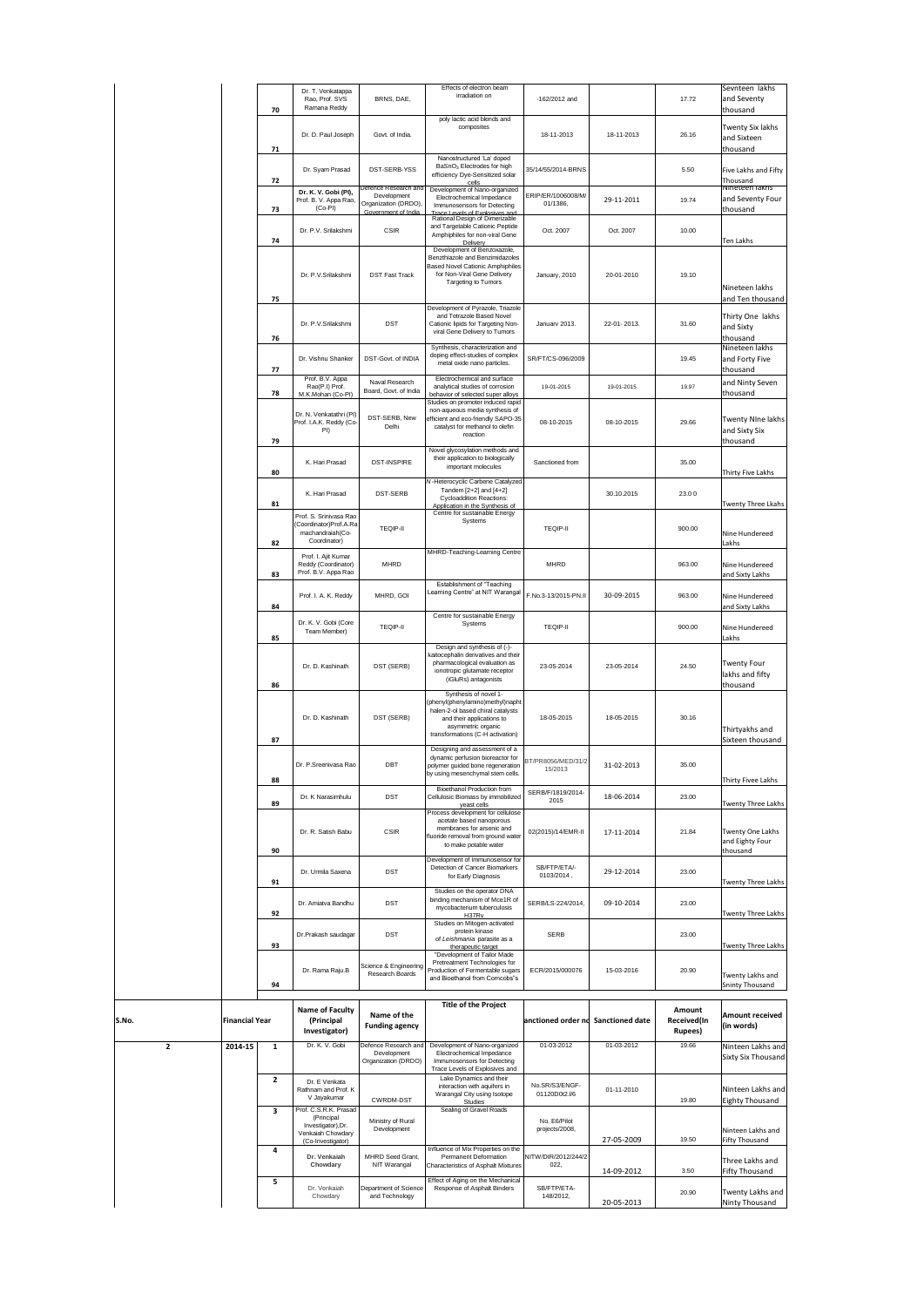|             |                       | 70                           | Dr. T. Venkatappa<br>Rao, Prof. SVS<br>Ramana Reddy                          | BRNS, DAE,                                                                         | Effects of electron beam<br>irradiation on                                                                                                                                            | -162/2012 and                      |             | 17.72                                           | Sevnteen lakhs<br>and Seventy<br>thousand       |
|-------------|-----------------------|------------------------------|------------------------------------------------------------------------------|------------------------------------------------------------------------------------|---------------------------------------------------------------------------------------------------------------------------------------------------------------------------------------|------------------------------------|-------------|-------------------------------------------------|-------------------------------------------------|
|             |                       | 71                           | Dr. D. Paul Joseph                                                           | Govt. of India.                                                                    | poly lactic acid blends and<br>composites                                                                                                                                             | 18-11-2013                         | 18-11-2013  | 26.16                                           | Twenty Six lakhs<br>and Sixteen<br>thousand     |
|             |                       | 72                           | Dr. Syam Prasad                                                              | DST-SERB-YSS                                                                       | Nanostructured 'La' doped<br>BaSnO <sub>3</sub> Electrodes for high<br>efficiency Dye-Sensitized solar<br>cells                                                                       | 35/14/55/2014-BRNS                 |             | 5.50                                            | Five Lakhs and Fifty<br>Thousand                |
|             |                       | 73                           | Dr. K. V. Gobi (PI),<br>Prof. B. V. Appa Rao,<br>$(Co-PI)$                   | Defence Research and<br>Development<br>Organization (DRDO),<br>Government of India | Development of Nano-organized<br>Electrochemical Impedance<br>Immunosensors for Detecting<br>Trace Levels of Explosives and<br>Rational Design of Dimerizable                         | ERIP/ER/1006008/M/<br>01/1386,     | 29-11-2011  | 19.74                                           | Nineteen lakhs<br>and Seventy Four<br>thousand  |
|             |                       | 74                           | Dr. P.V. Srilakshmi                                                          | <b>CSIR</b>                                                                        | and Targetable Cationic Peptide<br>Amphiphiles for non-viral Gene<br>Delivery                                                                                                         | Oct. 2007                          | Oct. 2007   | 10.00                                           | <b>Ten Lakhs</b>                                |
|             |                       | 75                           | Dr. P.V.Srilakshmi                                                           | <b>DST Fast Track</b>                                                              | Development of Benzoxazole,<br>Benzthiazole and Benzimidazoles<br><b>Based Novel Cationic Amphiphiles</b><br>for Non-Viral Gene Delivery<br>Targeting to Tumors                       | January, 2010                      | 20-01-2010  | 19.10                                           | Nineteen lakhs<br>and Ten thousand              |
|             |                       | 76                           | Dr. P.V.Srilakshmi                                                           | <b>DST</b>                                                                         | Development of Pyrazole, Triazole<br>and Tetrazole Based Novel<br>Cationic lipids for Targeting Non-<br>viral Gene Delivery to Tumors                                                 | January 2013.                      | 22-01-2013. | 31.60                                           | Thirty One lakhs<br>and Sixty<br>thousand       |
|             |                       | 77                           | Dr. Vishnu Shanker                                                           | DST-Govt. of INDIA                                                                 | Synthesis, characterization and<br>doping effect-studies of complex<br>metal oxide nano particles.                                                                                    | SR/FT/CS-096/2009                  |             | 19.45                                           | Nineteen lakhs<br>and Forty Five<br>thousand    |
|             |                       | 78                           | Prof. B.V. Appa<br>Rao(P.I) Prof.<br>M.K.Mohan (Co-PI)                       | Naval Research<br>Board, Govt. of India                                            | Electrochemical and surface<br>analytical studies of corrosion<br>behavior of selected super alloys<br>Studies on promoter induced rapid                                              | 19-01-2015                         | 19-01-2015  | 19.97                                           | and Ninty Seven<br>thousand                     |
|             |                       | 79                           | Dr. N. Venkatathri (PI)<br>Prof. I.A.K. Reddy (Co-<br>$P$ I)                 | DST-SERB, New<br>Delhi                                                             | non-aqueous media synthesis of<br>efficient and eco-friendly SAPO-35<br>catalyst for methanol to olefin<br>reaction                                                                   | 08-10-2015                         | 08-10-2015  | 29.66                                           | Twenty Nine lakhs<br>and Sixty Six<br>thousand  |
|             |                       | 80                           | K. Hari Prasad                                                               | <b>DST-INSPIRE</b>                                                                 | Novel glycosylation methods and<br>their application to biologically<br>important molecules                                                                                           | Sanctioned from                    |             | 35.00                                           | Thirty Five Lakhs                               |
|             |                       | 81                           | K. Hari Prasad<br>Prof. S. Srinivasa Rao                                     | <b>DST-SERB</b>                                                                    | N-Heterocyclic Carbene Catalyzed<br>Tandem $[2+2]$ and $[4+2]$<br><b>Cycloaddition Reactions:</b><br>Application in the Synthesis of<br>Centre for sustainable Energy                 |                                    | 30.10.2015  | 23.00                                           | Twenty Three Lkahs                              |
|             |                       | 82                           | (Coordinator)Prof.A.Ra<br>machandraiah(Co-<br>Coordinator)                   | <b>TEQIP-II</b>                                                                    | Systems                                                                                                                                                                               | <b>TEQIP-II</b>                    |             | 900.00                                          | Nine Hundereed<br>Lakhs                         |
|             |                       | 83                           | Prof. I. Ajit Kumar<br>Reddy (Coordinator)<br>Prof. B.V. Appa Rao            | <b>MHRD</b>                                                                        | MHRD-Teaching-Learning Centre                                                                                                                                                         | <b>MHRD</b>                        |             | 963.00                                          | Nine Hundereed<br>and Sixty Lakhs               |
|             |                       | 84                           | Prof. I. A. K. Reddy                                                         | MHRD, GOI                                                                          | <b>Establishment of "Teaching</b><br>Learning Centre" at NIT Warangal                                                                                                                 | F.No.3-13/2015-PN.II               | 30-09-2015  | 963.00                                          | Nine Hundereed<br>and Sixty Lakhs               |
|             |                       | 85                           | Dr. K. V. Gobi (Core<br>Team Member)                                         | <b>TEQIP-II</b>                                                                    | Centre for sustainable Energy<br>Systems                                                                                                                                              | <b>TEQIP-II</b>                    |             | 900.00                                          | Nine Hundereed<br>Lakhs                         |
|             |                       | 86                           | Dr. D. Kashinath                                                             | DST (SERB)                                                                         | Design and synthesis of (-)-<br>kaitocephalin derivatives and their<br>pharmacological evaluation as<br>ionotropic glutamate receptor<br>(iGluRs) antagonists                         | 23-05-2014                         | 23-05-2014  | 24.50                                           | Twenty Four<br>lakhs and fifty<br>thousand      |
|             |                       | 87                           | Dr. D. Kashinath                                                             | DST (SERB)                                                                         | Synthesis of novel 1-<br>(phenyl(phenylamino)methyl)napht<br>halen-2-ol based chiral catalysts<br>and their applications to<br>asymmetric organic<br>transformations (C-H activation) | 18-05-2015                         | 18-05-2015  | 30.16                                           | Thirtyakhs and<br>Sixteen thousand              |
|             |                       | 88                           | Dr. P.Sreenivasa Rao                                                         | <b>DBT</b>                                                                         | Designing and assessment of a<br>dynamic perfusion bioreactor for<br>polymer guided bone regeneration<br>by using mesenchymal stem cells.                                             | BT/PR8056/MED/31/2<br>15/2013      | 31-02-2013  | 35.00                                           | Thirty Fivee Lakhs                              |
|             |                       | 89                           | Dr. K Narasimhulu                                                            | <b>DST</b>                                                                         | <b>Bioethanol Production from</b><br>Cellulosic Biomass by immobilized<br>yeast cells<br>Process development for cellulose                                                            | SERB/F/1819/2014-<br>2015          | 18-06-2014  | 23.00                                           | Twenty Three Lakhs                              |
|             |                       | 90                           | Dr. R. Satish Babu                                                           | <b>CSIR</b>                                                                        | acetate based nanoporous<br>membranes for arsenic and<br>fluoride removal from ground water<br>to make potable water                                                                  | 02(2015)/14/EMR-II                 | 17-11-2014  | 21.84                                           | Twenty One Lakhs<br>and Eighty Four<br>thousand |
|             |                       | 91                           | Dr. Urmila Saxena                                                            | <b>DST</b>                                                                         | Development of Immunosensor for<br>Detection of Cancer Biomarkers<br>for Early Diagnosis                                                                                              | SB/FTP/ETA/-<br>0103/2014,         | 29-12-2014  | 23.00                                           | Twenty Three Lakhs                              |
|             |                       | 92                           | Dr. Amiatva Bandhu                                                           | <b>DST</b>                                                                         | Studies on the operator DNA<br>binding mechanism of Mce1R of<br>mycobacterium tuberculosis<br>H37Rv                                                                                   | SERB/LS-224/2014,                  | 09-10-2014  | 23.00                                           | Twenty Three Lakhs                              |
|             |                       | 93                           | Dr.Prakash saudagar                                                          | <b>DST</b>                                                                         | Studies on Mitogen-activated<br>protein kinase<br>of Leishmania parasite as a<br>therapeutic target                                                                                   | <b>SERB</b>                        |             | 23.00                                           | Twenty Three Lakhs                              |
|             |                       | 94                           | Dr. Rama Raju.B                                                              | Science & Engineering<br>Research Boards                                           | "Development of Tailor Made<br>Pretreatment Technologies for<br>Production of Fermentable sugars<br>and Bioethanol from Corncobs"s                                                    | ECR/2015/000076                    | 15-03-2016  | 20.90                                           | Twenty Lakhs and<br><b>Sninty Thousand</b>      |
| S.No.       | <b>Financial Year</b> |                              | <b>Name of Faculty</b><br>(Principal<br>Investigator)                        | Name of the<br><b>Funding agency</b>                                               | <b>Title of the Project</b>                                                                                                                                                           | anctioned order nd Sanctioned date |             | <b>Amount</b><br>Received(In<br><b>Rupees</b> ) | <b>Amount received</b><br>(in words)            |
| $2^{\circ}$ | 2014-15               | $\mathbf{1}$                 | Dr. K. V. Gobi                                                               | Defence Research and<br>Development<br>Organization (DRDO)                         | Development of Nano-organized<br>Electrochemical Impedance<br>Immunosensors for Detecting                                                                                             | 01-03-2012                         | 01-03-2012  | 19.66                                           | Ninteen Lakhs and<br><b>Sixty Six Thousand</b>  |
|             |                       | $\mathbf{2}$<br>$\mathbf{3}$ | Dr. E Venkata<br>Rathnam and Prof. K<br>V Jayakumar<br>Prof. C.S.R.K. Prasad | <b>CWRDM-DST</b>                                                                   | Trace Levels of Explosives and<br>Lake Dynamics and their<br>interaction with aquifers in<br>Warangal City using Isotope<br><b>Studies</b><br>Sealing of Gravel Roads                 | No.SR/S3/ENGF-<br>01120D0t2.I/6    | 01-11-2010  | 19.80                                           | Ninteen Lakhs and<br>Eighty Thousand            |
|             |                       |                              | (Principal<br>Investigator), Dr.<br>Venkaiah Chowdary<br>(Co-Investigator)   | Ministry of Rural<br>Development                                                   |                                                                                                                                                                                       | No. E6/Pilot<br>projects/2008,     | 27-05-2009  | 19.50                                           | Ninteen Lakhs and<br><b>Fifty Thousand</b>      |
|             |                       | 4                            | Dr. Venkaiah<br>Chowdary                                                     | MHRD Seed Grant,<br>NIT Warangal                                                   | Influence of Mix Properties on the<br><b>Permanent Deformation</b><br>Characteristics of Asphalt Mixtures                                                                             | NITW/DIR/2012/244/2<br>022,        | 14-09-2012  | 3.50                                            | Three Lakhs and<br><b>Fifty Thousand</b>        |
|             |                       | 5                            | Dr. Venkaiah<br>Chowdary                                                     | Department of Science<br>and Technology                                            | Effect of Aging on the Mechanical<br>Response of Asphalt Binders                                                                                                                      | SB/FTP/ETA-<br>148/2012,           | 20-05-2013  | 20.90                                           | Twenty Lakhs and<br>Ninty Thousand              |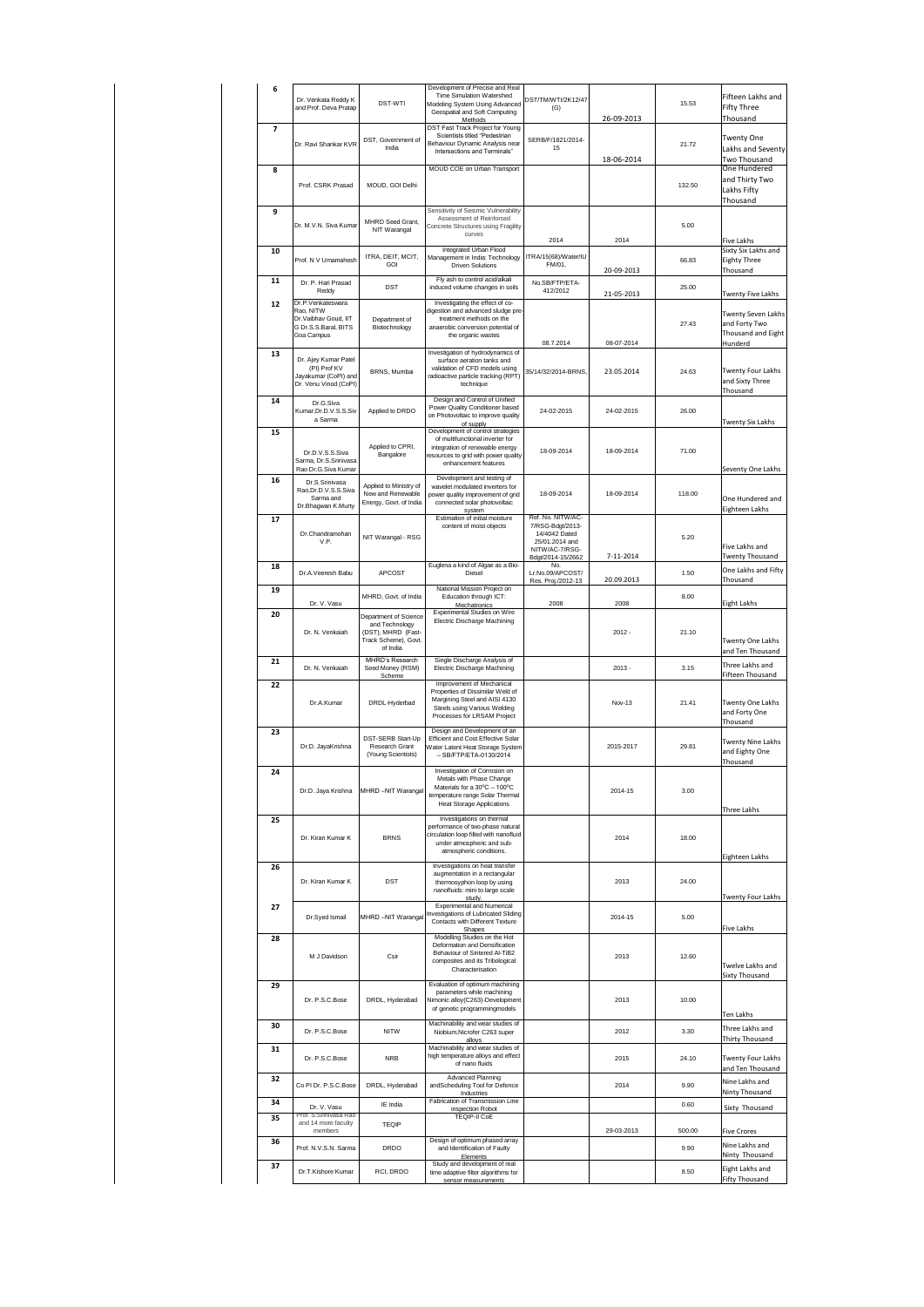| 6                       | Dr. Venkata Reddy K<br>and Prof. Deva Pratap                                                 | <b>DST-WTI</b>                                                                                    | Development of Precise and Real<br><b>Time Simulation Watershed</b><br>Modeling System Using Advanced<br>Geospatial and Soft Computing<br>Methods                                     | DST/TM/WTI/2K12/47<br>(G)                                                                                       | 26-09-2013 | 15.53  | Fifteen Lakhs and<br>Fifty Three<br>Thousand                         |
|-------------------------|----------------------------------------------------------------------------------------------|---------------------------------------------------------------------------------------------------|---------------------------------------------------------------------------------------------------------------------------------------------------------------------------------------|-----------------------------------------------------------------------------------------------------------------|------------|--------|----------------------------------------------------------------------|
| $\overline{\mathbf{z}}$ | Dr. Ravi Shankar KVR                                                                         | DST, Government of<br>India                                                                       | DST Fast Track Project for Young<br>Scientists titled "Pedestrian<br>Behaviour Dynamic Analysis near<br>Intersections and Terminals"                                                  | SERB/F/1821/2014-<br>15                                                                                         | 18-06-2014 | 21.72  | <b>Twenty One</b><br>Lakhs and Seventy<br>Two Thousand               |
| 8                       | Prof. CSRK Prasad                                                                            | MOUD, GOI Delhi                                                                                   | MOUD COE on Urban Transport                                                                                                                                                           |                                                                                                                 |            | 132.50 | One Hundered<br>and Thirty Two<br>Lakhs Fifty<br>Thousand            |
| 9                       | Dr. M.V.N. Siva Kumar                                                                        | MHRD Seed Grant,<br>NIT Warangal                                                                  | Sensitivity of Seismic Vulnerability<br>Assessment of Reinforced<br><b>Concrete Structures using Fragility</b><br>curves                                                              | 2014                                                                                                            | 2014       | 5.00   | <b>Five Lakhs</b>                                                    |
| 10                      | Prof. N V Umamahesh                                                                          | ITRA, DEIT, MCIT,<br><b>GOI</b>                                                                   | Integrated Urban Flood<br>Management in India: Technology<br><b>Driven Solutions</b>                                                                                                  | ITRA/15(68)/Water/IU<br>FM/01,                                                                                  | 20-09-2013 | 66.83  | Sixty Six Lakhs and<br><b>Eighty Three</b><br>Thousand               |
| 11                      | Dr. P. Hari Prasad<br>Reddy                                                                  | <b>DST</b>                                                                                        | Fly ash to control acid/alkali<br>induced volume changes in soils                                                                                                                     | No.SB/FTP/ETA-<br>412/2012                                                                                      | 21-05-2013 | 25.00  | <b>Twenty Five Lakhs</b>                                             |
| 12                      | Dr.P.Venkateswara<br>Rao, NITW<br>Dr.Vaibhav Goud, IIT<br>G Dr.S.S.Baral, BITS<br>Goa Campus | Department of<br>Biotechnology                                                                    | Investigating the effect of co-<br>digestion and advanced sludge pre-<br>treatment methods on the<br>anaerobic conversion potential of<br>the organic wastes                          | 08.7.2014                                                                                                       | 08-07-2014 | 27.43  | Twenty Seven Lakhs<br>and Forty Two<br>Thousand and Eight<br>Hunderd |
| 13                      | Dr. Ajey Kumar Patel<br>(PI) Prof KV<br>Jayakumar (CoPI) and<br>Dr. Venu Vinod (CoPI)        | BRNS, Mumbai                                                                                      | Investigation of hydrodynamics of<br>surface aeration tanks and<br>validation of CFD models using<br>radioactive particle tracking (RPT)<br>technique                                 | 35/14/32/2014-BRNS,                                                                                             | 23.05.2014 | 24.63  | <b>Twenty Four Lakhs</b><br>and Sixty Three<br>Thousand              |
| 14                      | Dr.G.Siva<br>Kumar, Dr.D.V.S.S.Siv<br>a Sarma                                                | Applied to DRDO                                                                                   | Design and Control of Unified<br>Power Quality Conditioner based<br>on Photovoltaic to improve quality<br>of supply                                                                   | 24-02-2015                                                                                                      | 24-02-2015 | 26.00  | <b>Twenty Six Lakhs</b>                                              |
| 15                      | Dr.D.V.S.S.Siva<br>Sarma, Dr.S.Srinivasa<br>Rao Dr.G.Siva Kumar                              | Applied to CPRI,<br>Bangalore                                                                     | Development of control strategies<br>of multifunctional inverter for<br>integration of renewable energy<br>resources to grid with power quality<br>enhancement features               | 18-09-2014                                                                                                      | 18-09-2014 | 71.00  | Seventy One Lakhs                                                    |
| 16                      | Dr.S.Srinivasa<br>Rao, Dr.D.V.S.S.Siva<br>Sarma and<br>Dr.Bhagwan K.Murty                    | Applied to Ministry of<br>New and Renewable<br>Energy, Govt. of India                             | Development and testing of<br>wavelet modulated inverters for<br>power quality improvement of grid<br>connected solar photovoltaic<br>system                                          | 18-09-2014                                                                                                      | 18-09-2014 | 118.00 | One Hundered and<br>Eighteen Lakhs                                   |
| 17                      | Dr.Chandramohan<br>V.P.                                                                      | NIT Warangal - RSG                                                                                | Estimation of initial moisture<br>content of moist objects                                                                                                                            | Ref. No. NITW/AC-<br>7/RSG-Bdgt/2013-<br>14/4042 Dated<br>25/01.2014 and<br>NITW/AC-7/RSG-<br>Bdgt/2014-15/2662 | 7-11-2014  | 5.20   | Five Lakhs and<br><b>Twenty Thousand</b>                             |
| 18                      | Dr.A.Veeresh Babu                                                                            | <b>APCOST</b>                                                                                     | Euglena a kind of Algae as a Bio-<br><b>Diesel</b>                                                                                                                                    | No.<br>Lr.No.09/APCOST/<br>Res. Proj./2012-13                                                                   | 20.09.2013 | 1.50   | One Lakhs and Fifty<br>Thousand                                      |
| 19                      | Dr. V. Vasu                                                                                  | MHRD, Govt. of India                                                                              | National Mission Project on<br>Education through ICT:<br>Mechatronics                                                                                                                 | 2008                                                                                                            | 2008       | 8.00   | Eight Lakhs                                                          |
| 20                      | Dr. N. Venkaiah                                                                              | Department of Science<br>and Technology<br>(DST), MHRD (Fast-<br>Track Scheme), Govt.<br>of India | Experimental Studies on Wire<br><b>Electric Discharge Machining</b>                                                                                                                   |                                                                                                                 | $2012 -$   | 21.10  | <b>Twenty One Lakhs</b>                                              |
| 21                      | Dr. N. Venkaiah                                                                              | MHRD's Research<br>Seed Money (RSM)<br>Scheme                                                     | Single Discharge Analysis of<br><b>Electric Discharge Machining</b>                                                                                                                   |                                                                                                                 | $2013 -$   | 3.15   | and Ten Thousand<br>Three Lakhs and<br>Fifteen Thousand              |
| 22                      | Dr.A.Kumar                                                                                   | DRDL-Hyderbad                                                                                     | Improvement of Mechanical<br>Properties of Dissimilar Weld of<br>Margining Steel and AISI 4130<br>Steels using Various Welding<br>Processes for LRSAM Project                         |                                                                                                                 | Nov-13     | 21.41  | Twenty One Lakhs<br>and Forty One<br>Thousand                        |
| 23                      | Dr.D. JayaKrishna                                                                            | DST-SERB Start-Up<br>Research Grant<br>(Young Scientists)                                         | Design and Development of an<br><b>Efficient and Cost Effective Solar</b><br>Water Latent Heat Storage System<br>$-$ SB/FTP/ETA-0130/2014                                             |                                                                                                                 | 2015-2017  | 29.81  | <b>Twenty Nine Lakhs</b><br>and Eighty One<br>Thousand               |
| 24                      | Dr.D. Jaya Krishna                                                                           | MHRD-NIT Warangal                                                                                 | Investigation of Corrosion on<br>Metals with Phase Change<br>Materials for a $30^{\circ}$ C - 100 $^{\circ}$ C<br>temperature range Solar Thermal<br><b>Heat Storage Applications</b> |                                                                                                                 | 2014-15    | 3.00   | Three Lakhs                                                          |
| 25                      | Dr. Kiran Kumar K                                                                            | <b>BRNS</b>                                                                                       | Investigations on thermal<br>performance of two-phase natural<br>circulation loop filled with nanofluid<br>under atmospheric and sub-<br>atmospheric conditions.                      |                                                                                                                 | 2014       | 18.00  | Eighteen Lakhs                                                       |
| 26                      | Dr. Kiran Kumar K                                                                            | <b>DST</b>                                                                                        | Investigations on heat transfer<br>augmentation in a rectangular<br>thermosyphon loop by using<br>nanofluids: mini to large scale<br>study.                                           |                                                                                                                 | 2013       | 24.00  | Twenty Four Lakhs                                                    |
| 27                      | Dr.Syed Ismail                                                                               | MHRD-NIT Warangal                                                                                 | <b>Experimental and Numerical</b><br>Investigations of Lubricated Sliding<br><b>Contacts with Different Texture</b><br>Shapes                                                         |                                                                                                                 | 2014-15    | 5.00   | <b>Five Lakhs</b>                                                    |
| 28                      | M J Davidson                                                                                 | Csir                                                                                              | Modelling Studies on the Hot<br>Deformation and Densification<br>Behaviour of Sintered Al-TiB2<br>composites and its Tribological<br>Characterisation                                 |                                                                                                                 | 2013       | 12.60  | Twelve Lakhs and<br><b>Sixty Thousand</b>                            |
| 29                      | Dr. P.S.C.Bose                                                                               | DRDL, Hyderabad                                                                                   | Evaluation of optimum machining<br>parameters while machining<br>Nimonic alloy(C263)-Development<br>of genetic programmingmodels                                                      |                                                                                                                 | 2013       | 10.00  | <b>Ten Lakhs</b>                                                     |
| 30                      | Dr. P.S.C.Bose                                                                               | <b>NITW</b>                                                                                       | Machinability and wear studies of<br>Niobium, Nicrofer C263 super<br>alloys                                                                                                           |                                                                                                                 | 2012       | 3.30   | Three Lakhs and<br>Thirty Thousand                                   |
| 31                      | Dr. P.S.C.Bose                                                                               | <b>NRB</b>                                                                                        | Machinability and wear studies of<br>high temperature alloys and effect<br>of nano fluids                                                                                             |                                                                                                                 | 2015       | 24.10  | <b>Twenty Four Lakhs</b><br>and Ten Thousand                         |
| 32                      | Co PI Dr. P.S.C.Bose                                                                         | DRDL, Hyderabad                                                                                   | <b>Advanced Planning</b><br>andScheduling Tool for Defence<br>Industries                                                                                                              |                                                                                                                 | 2014       | 9.90   | Nine Lakhs and<br><b>Ninty Thousand</b>                              |
| 34<br>35                | Dr. V. Vasu<br>Prof. S.Srinivasa Rao                                                         | IE India                                                                                          | Fabrication of Transmission Line<br>inspection Robot<br><b>TEQIP-II CoE</b>                                                                                                           |                                                                                                                 |            | 0.60   | Sixty Thousand                                                       |
| 36                      | and 14 more faculty<br>members                                                               | <b>TEQIP</b>                                                                                      | Design of optimum phased array                                                                                                                                                        |                                                                                                                 | 29-03-2013 | 500.00 | <b>Five Crores</b>                                                   |
| 37                      | Prof. N.V.S.N. Sarma                                                                         | <b>DRDO</b>                                                                                       | and Identification of Faulty<br>Elements<br>Study and development of real                                                                                                             |                                                                                                                 |            | 9.90   | Nine Lakhs and<br>Ninty Thousand                                     |
|                         | Dr.T.Kishore Kumar                                                                           | RCI, DRDO                                                                                         | time adaptive filter algorithms for<br>sensor measurements                                                                                                                            |                                                                                                                 |            | 8.50   | Eight Lakhs and<br>Fifty Thousand                                    |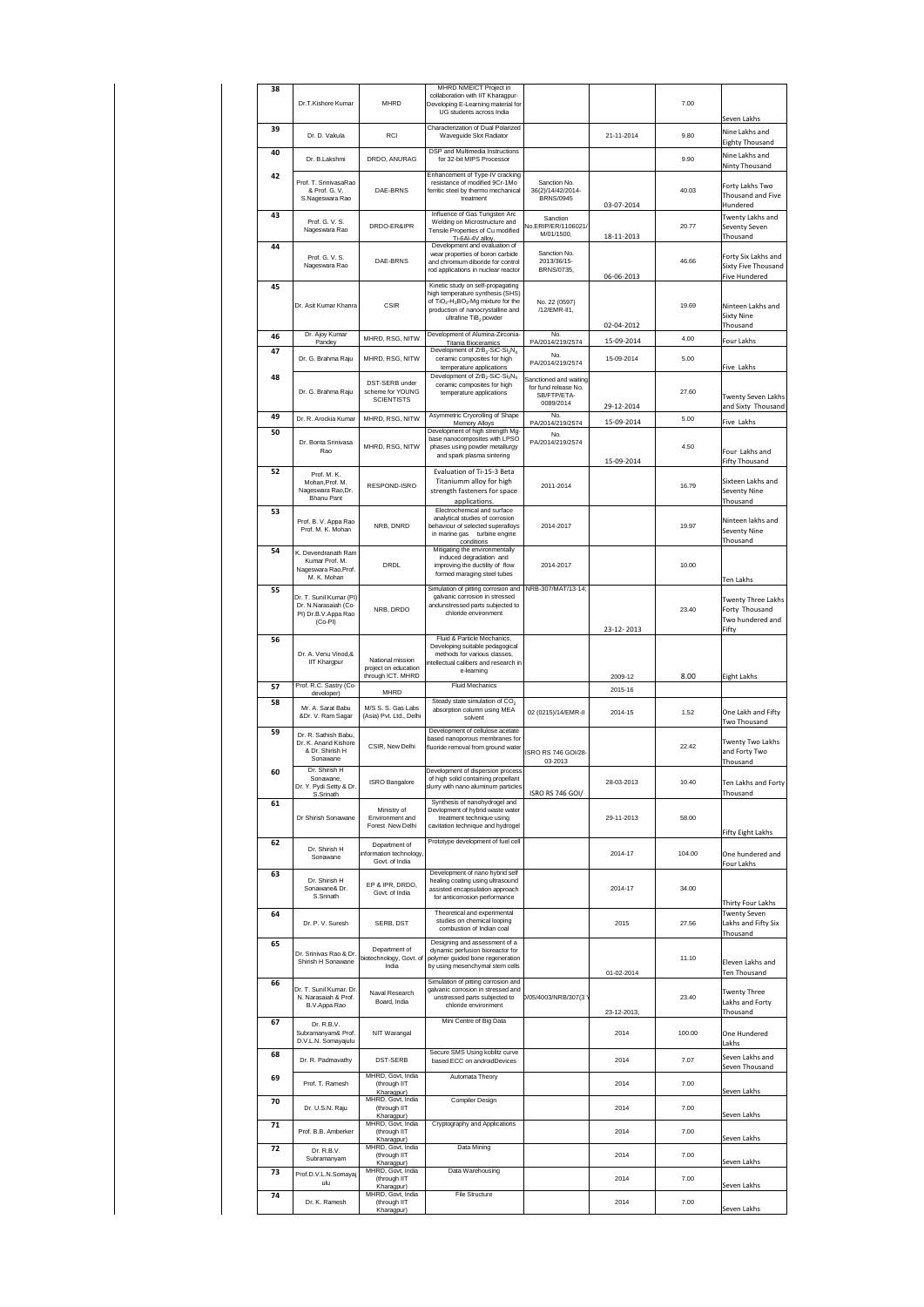| 38       | Dr.T.Kishore Kumar                                                                           | <b>MHRD</b>                                                   | MHRD NMEICT Project in<br>collaboration with IIT Kharagpur-<br>Developing E-Learning material for<br>UG students across India                                                            |                                                                            |             | 7.00   | Seven Lakhs                                                               |
|----------|----------------------------------------------------------------------------------------------|---------------------------------------------------------------|------------------------------------------------------------------------------------------------------------------------------------------------------------------------------------------|----------------------------------------------------------------------------|-------------|--------|---------------------------------------------------------------------------|
| 39       | Dr. D. Vakula                                                                                | RCI                                                           | Characterization of Dual Polarized<br>Waveguide Slot Radiator                                                                                                                            |                                                                            | 21-11-2014  | 9.80   | Nine Lakhs and                                                            |
| 40       | Dr. B.Lakshmi                                                                                | DRDO, ANURAG                                                  | <b>DSP</b> and Multimedia Instructions<br>for 32-bit MIPS Processor                                                                                                                      |                                                                            |             | 9.90   | <b>Eighty Thousand</b><br>Nine Lakhs and                                  |
| 42       | Prof. T. SrinivasaRao<br>& Prof. G. V.<br>S.Nageswara Rao                                    | DAE-BRNS                                                      | Enhancement of Type-IV cracking<br>resistance of modified 9Cr-1Mo<br>ferritic steel by thermo mechanical<br>treatment                                                                    | Sanction No.<br>36(2)/14/42/2014-<br><b>BRNS/0945</b>                      | 03-07-2014  | 40.03  | Ninty Thousand<br>Forty Lakhs Two<br>Thousand and Five<br>Hundered        |
| 43       | Prof. G. V. S.<br>Nageswara Rao                                                              | DRDO-ER&IPR                                                   | Influence of Gas Tungsten Arc<br>Welding on Microstructure and<br>Tensile Properties of Cu modified<br>Ti-6Al-4V alloy.                                                                  | Sanction<br>No.ERIP/ER/1106021/<br>M/01/1500,                              | 18-11-2013  | 20.77  | Twenty Lakhs and<br><b>Seventy Seven</b><br>Thousand                      |
| 44       | Prof. G. V. S.<br>Nageswara Rao                                                              | DAE-BRNS                                                      | Development and evaluation of<br>wear properties of boron carbide<br>and chromium diboride for control<br>rod applications in nuclear reactor                                            | Sanction No.<br>2013/36/15-<br>BRNS/0735,                                  | 06-06-2013  | 46.66  | Forty Six Lakhs and<br><b>Sixty Five Thousand</b><br><b>Five Hundered</b> |
| 45       | Dr. Asit Kumar Khanra                                                                        | <b>CSIR</b>                                                   | Kinetic study on self-propagating<br>high temperature synthesis (SHS)<br>of $TiO_2-H_3BO_3-Mg$ mixture for the<br>production of nanocrystalline and<br>ultrafine TiB <sub>2</sub> powder | No. 22 (0597)<br>/12/EMR-II1,                                              | 02-04-2012  | 19.69  | Ninteen Lakhs and<br><b>Sixty Nine</b><br>Thousand                        |
| 46       | Dr. Ajoy Kumar<br>Pandey                                                                     | MHRD, RSG, NITW                                               | Development of Alumina-Zirconia-<br><b>Titania Bioceramics</b>                                                                                                                           | No.<br>PA/2014/219/2574                                                    | 15-09-2014  | 4.00   | <b>Four Lakhs</b>                                                         |
| 47       | Dr. G. Brahma Raju                                                                           | MHRD, RSG, NITW                                               | Development of ZrB <sub>2</sub> -SiC-Si <sub>3</sub> N <sub>4</sub><br>ceramic composites for high<br>temperature applications                                                           | No.<br>PA/2014/219/2574                                                    | 15-09-2014  | 5.00   | Five Lakhs                                                                |
| 48       | Dr. G. Brahma Raju                                                                           | DST-SERB under<br>scheme for YOUNG<br><b>SCIENTISTS</b>       | Development of ZrB <sub>2</sub> -SiC-Si <sub>3</sub> N <sub>4</sub><br>ceramic composites for high<br>temperature applications                                                           | Sanctioned and waiting<br>for fund release No.<br>SB/FTP/ETA-<br>0089/2014 | 29-12-2014  | 27.60  | Twenty Seven Lakhs<br>and Sixty Thousand                                  |
| 49       | Dr. R. Arockia Kumar                                                                         | MHRD, RSG, NITW                                               | Asymmetric Cryorolling of Shape<br><b>Memory Alloys</b>                                                                                                                                  | No.<br>PA/2014/219/2574                                                    | 15-09-2014  | 5.00   | Five Lakhs                                                                |
| 50       | Dr. Bonta Srinivasa<br>Rao                                                                   | MHRD, RSG, NITW                                               | Development of high strength Mg-<br>base nanocomposites with LPSO<br>phases using powder metallurgy<br>and spark plasma sintering                                                        | No.<br>PA/2014/219/2574                                                    | 15-09-2014  | 4.50   | Four Lakhs and<br><b>Fifty Thousand</b>                                   |
| 52<br>53 | Prof. M. K.<br>Mohan, Prof. M.<br>Nageswara Rao, Dr.<br><b>Bhanu Pant</b>                    | RESPOND-ISRO                                                  | Evaluation of Ti-15-3 Beta<br>Titaniumm alloy for high<br>strength fasteners for space<br>applications.<br>Electrochemical and surface                                                   | 2011-2014                                                                  |             | 16.79  | Sixteen Lakhs and<br><b>Seventy Nine</b><br>Thousand                      |
|          | Prof. B. V. Appa Rao<br>Prof. M. K. Mohan                                                    | NRB, DNRD                                                     | analytical studies of corrosion<br>behaviour of selected superalloys<br>in marine gas turbine engine<br>conditions                                                                       | 2014-2017                                                                  |             | 19.97  | Ninteen lakhs and<br><b>Seventy Nine</b><br>Thousand                      |
| 54       | K. Devendranath Ram<br>Kumar Prof. M.<br>Nageswara Rao, Prof.<br>M. K. Mohan                 | <b>DRDL</b>                                                   | Mitigating the environmentally<br>induced degradation and<br>improving the ductility of flow<br>formed maraging steel tubes                                                              | 2014-2017                                                                  |             | 10.00  | <b>Ten Lakhs</b>                                                          |
| 55       | Dr. T. Sunil Kumar (PI)<br>Dr. N.Narasaiah (Co-<br>PI) Dr.B.V.Appa Rao<br>$(Co-PI)$          | NRB, DRDO                                                     | Simulation of pitting corrosion and<br>galvanic corrosion in stressed<br>andunstressed parts subjected to<br>chloride environment                                                        | NRB-307/MAT/13-14;                                                         | 23-12-2013  | 23.40  | Twenty Three Lakhs<br>Forty Thousand<br>Two hundered and<br>Fifty         |
| 56       | Dr. A. Venu Vinod, &<br><b>IIT Khargpur</b>                                                  | National mission<br>project on education<br>through ICT. MHRD | Fluid & Particle Mechanics,<br>Developing suitable pedagogical<br>methods for various classes.<br>intellectual calibers and research in<br>e-learning                                    |                                                                            | 2009-12     | 8.00   | Eight Lakhs                                                               |
| 57<br>58 | Prof. R.C. Sastry (Co-<br>developer)                                                         | <b>MHRD</b>                                                   | <b>Fluid Mechanics</b><br>Steady state simulation of CO <sub>2</sub>                                                                                                                     |                                                                            | 2015-16     |        |                                                                           |
| 59       | Mr. A. Sarat Babu<br>&Dr. V. Ram Sagar                                                       | M/S S. S. Gas Labs<br>(Asia) Pvt. Ltd., Delhi                 | absorption column using MEA<br>solvent<br>Development of cellulose acetate                                                                                                               | 02 (0215)/14/EMR-II                                                        | 2014-15     | 1.52   | One Lakh and Fifty<br><b>Two Thousand</b>                                 |
|          | Dr. R. Sathish Babu,<br>Dr. K. Anand Kishore<br>& Dr. Shirish H<br>Sonawane<br>Dr. Shirish H | CSIR, New Delhi                                               | based nanoporous membranes for<br>fluoride removal from ground water<br>Development of dispersion process                                                                                | ISRO RS 746 GOI/28-<br>03-2013                                             |             | 22.42  | Twenty Two Lakhs<br>and Forty Two<br>Thousand                             |
| 60       | Sonawane,<br>Dr. Y. Pydi Setty & Dr.<br>S.Srinath                                            | <b>ISRO Bangalore</b>                                         | of high solid containing propellant<br>slurry with nano aluminum particles<br>Synthesis of nanohydrogel and                                                                              | <b>ISRO RS 746 GOI/</b>                                                    | 28-03-2013  | 10.40  | Ten Lakhs and Forty<br>Thousand                                           |
| 61       | Dr Shirish Sonawane                                                                          | Ministry of<br>Environment and<br>Forest New Delhi            | Devlopment of hybrid waste water<br>treatment technique using<br>cavitation technique and hydrogel                                                                                       |                                                                            | 29-11-2013  | 58.00  | <b>Fifty Eight Lakhs</b>                                                  |
| 62       | Dr. Shirish H<br>Sonawane                                                                    | Department of<br>information technology,<br>Govt. of India    | Prototype development of fuel cell<br>Development of nano hybrid self                                                                                                                    |                                                                            | 2014-17     | 104.00 | One hundered and<br>Four Lakhs                                            |
| 63       | Dr. Shirish H<br>Sonawane& Dr.<br>S.Srinath                                                  | EP & IPR, DRDO,<br>Govt. of India                             | healing coating using ultrasound<br>assisted encapsulation approach<br>for anticorrosion performance                                                                                     |                                                                            | 2014-17     | 34.00  | Thirty Four Lakhs                                                         |
| 64       | Dr. P. V. Suresh                                                                             | SERB, DST                                                     | Theoretical and experimental<br>studies on chemical looping<br>combustion of Indian coal                                                                                                 |                                                                            | 2015        | 27.56  | <b>Twenty Seven</b><br>Lakhs and Fifty Six<br>Thousand                    |
| 65       | Dr. Srinivas Rao & Dr.<br>Shirish H Sonawane                                                 | Department of<br>biotechnology, Govt. of<br>India             | Designing and assessment of a<br>dynamic perfusion bioreactor for<br>polymer guided bone regeneration<br>by using mesenchymal stem cells                                                 |                                                                            | 01-02-2014  | 11.10  | Eleven Lakhs and<br><b>Ten Thousand</b>                                   |
| 66       | Dr. T. Sunil Kumar. Dr.<br>N. Narasaiah & Prof.<br>B.V.Appa Rao                              | Naval Research<br>Board, India                                | Simulation of pitting corrosion and<br>galvanic corrosion in stressed and<br>unstressed parts subjected to<br>chloride environment                                                       | D/05/4003/NRB/307(3)                                                       | 23-12-2013, | 23.40  | <b>Twenty Three</b><br>Lakhs and Forty<br>Thousand                        |
| 67       | Dr. R.B.V.<br>Subramanyam& Prof.<br>D.V.L.N. Somayajulu                                      | NIT Warangal                                                  | Mini Centre of Big Data                                                                                                                                                                  |                                                                            | 2014        | 100.00 | <b>One Hundered</b><br>Lakhs                                              |
| 68       | Dr. R. Padmavathy                                                                            | <b>DST-SERB</b>                                               | Secure SMS Using koblitz curve<br>based ECC on androidDevices                                                                                                                            |                                                                            | 2014        | 7.07   | Seven Lakhs and<br>Seven Thousand                                         |
| 69       | Prof. T. Ramesh                                                                              | MHRD, Govt, India<br>(through IIT<br>Kharagpur)               | Automata Theory                                                                                                                                                                          |                                                                            | 2014        | 7.00   | Seven Lakhs                                                               |
| 70       | Dr. U.S.N. Raju                                                                              | MHRD, Govt, India<br>(through IIT<br>Kharagpur)               | Compiler Design                                                                                                                                                                          |                                                                            | 2014        | 7.00   | Seven Lakhs                                                               |
| 71       | Prof. B.B. Amberker                                                                          | MHRD, Govt, India<br>(through IIT<br>Kharagpur)               | Cryptography and Applications                                                                                                                                                            |                                                                            | 2014        | 7.00   | Seven Lakhs                                                               |
| 72       | Dr. R.B.V.<br>Subramanyam                                                                    | MHRD, Govt, India<br>(through IIT<br>Kharagpur)               | Data Mining                                                                                                                                                                              |                                                                            | 2014        | 7.00   | Seven Lakhs                                                               |
| 73       | Prof.D.V.L.N.Somayaj<br>ulu                                                                  | MHRD, Govt, India<br>(through IIT<br>Kharagpur)               | Data Warehousing                                                                                                                                                                         |                                                                            | 2014        | 7.00   | Seven Lakhs                                                               |
| 74       | Dr. K. Ramesh                                                                                | MHRD, Govt, India<br>(through IIT<br>Kharagpur)               | <b>File Structure</b>                                                                                                                                                                    |                                                                            | 2014        | 7.00   | Seven Lakhs                                                               |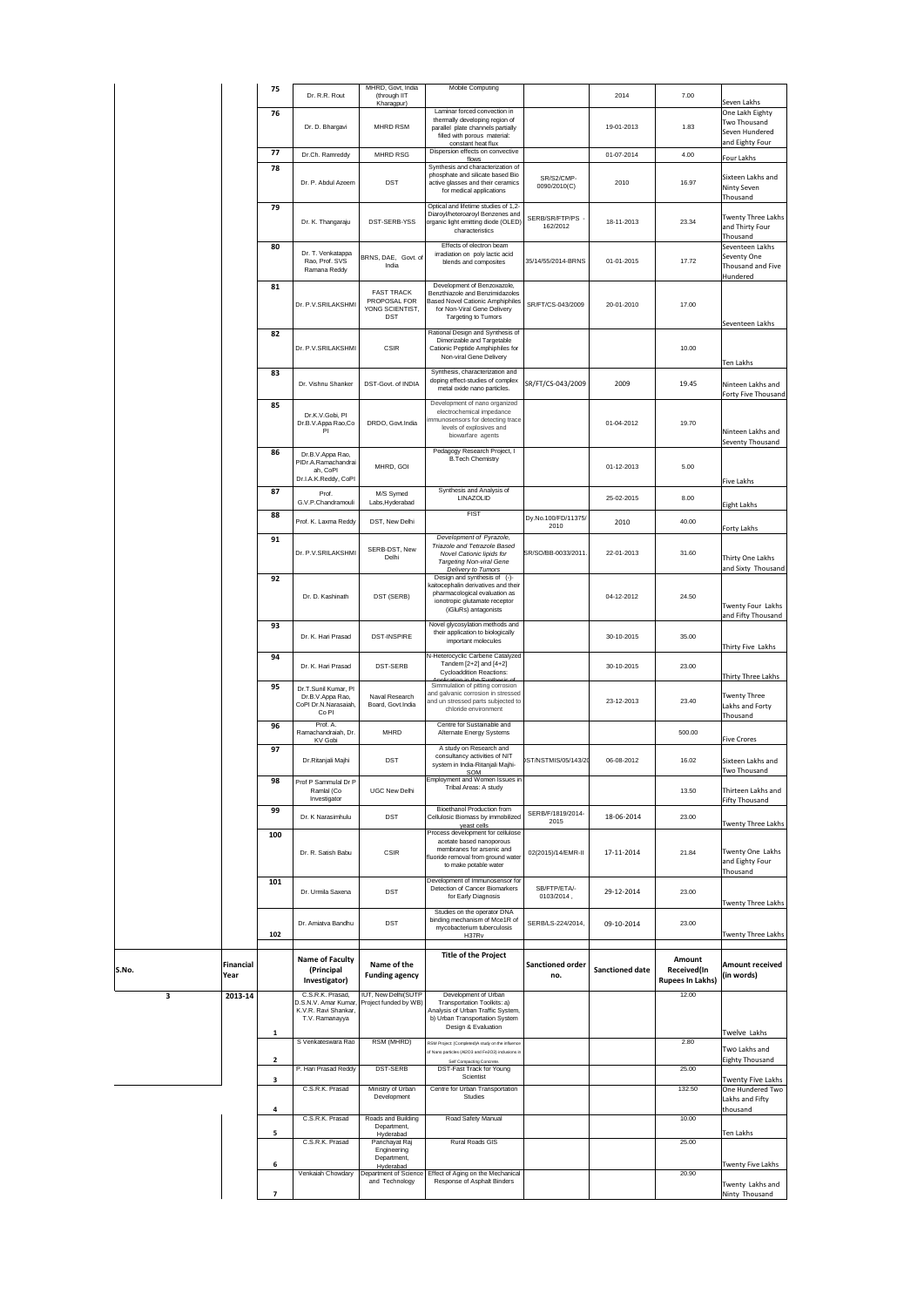|   |                   | 75                      | Dr. R.R. Rout                                                                        | MHRD, Govt, India<br>(through IIT                                              | Mobile Computing                                                                                                                                                |                                | 2014                   | 7.00                                                     |                                                                  |
|---|-------------------|-------------------------|--------------------------------------------------------------------------------------|--------------------------------------------------------------------------------|-----------------------------------------------------------------------------------------------------------------------------------------------------------------|--------------------------------|------------------------|----------------------------------------------------------|------------------------------------------------------------------|
|   |                   | 76                      | Dr. D. Bhargavi                                                                      | Kharagpur)<br><b>MHRD RSM</b>                                                  | Laminar forced convection in<br>thermally developing region of<br>parallel plate channels partially                                                             |                                | 19-01-2013             | 1.83                                                     | Seven Lakhs<br>One Lakh Eighty<br>Two Thousand<br>Seven Hundered |
|   |                   | 77                      | Dr.Ch. Ramreddy                                                                      | MHRD RSG                                                                       | filled with porous material:<br>constant heat flux<br>Dispersion effects on convective                                                                          |                                | 01-07-2014             | 4.00                                                     | and Eighty Four                                                  |
|   |                   | 78                      |                                                                                      |                                                                                | flows<br>Synthesis and characterization of                                                                                                                      |                                |                        |                                                          | Four Lakhs                                                       |
|   |                   |                         | Dr. P. Abdul Azeem                                                                   | <b>DST</b>                                                                     | phosphate and silicate based Bio<br>active glasses and their ceramics<br>for medical applications                                                               | SR/S2/CMP-<br>0090/2010(C)     | 2010                   | 16.97                                                    | Sixteen Lakhs and<br><b>Ninty Seven</b><br>Thousand              |
|   |                   | 79                      | Dr. K. Thangaraju                                                                    | DST-SERB-YSS                                                                   | Optical and lifetime studies of 1,2-<br>Diaroyl/heteroaroyl Benzenes and<br>organic light emitting diode (OLED)<br>characteristics                              | SERB/SR/FTP/PS -<br>162/2012   | 18-11-2013             | 23.34                                                    | Twenty Three Lakhs<br>and Thirty Four<br>Thousand                |
|   |                   | 80                      | Dr. T. Venkatappa<br>Rao, Prof. SVS<br>Ramana Reddy                                  | BRNS, DAE, Govt. of<br>India                                                   | Effects of electron beam<br>irradiation on poly lactic acid<br>blends and composites                                                                            | 35/14/55/2014-BRNS             | 01-01-2015             | 17.72                                                    | Seventeen Lakhs<br>Seventy One<br>Thousand and Five<br>Hundered  |
|   |                   | 81                      | Dr. P.V.SRILAKSHMI                                                                   | <b>FAST TRACK</b><br>PROPOSAL FOR<br>YONG SCIENTIST,<br><b>DST</b>             | Development of Benzoxazole,<br>Benzthiazole and Benzimidazoles<br><b>Based Novel Cationic Amphiphiles</b><br>for Non-Viral Gene Delivery<br>Targeting to Tumors | SR/FT/CS-043/2009              | 20-01-2010             | 17.00                                                    | Seventeen Lakhs                                                  |
|   |                   | 82                      | Dr. P.V.SRILAKSHMI                                                                   | <b>CSIR</b>                                                                    | Rational Design and Synthesis of<br>Dimerizable and Targetable<br>Cationic Peptide Amphiphiles for<br>Non-viral Gene Delivery                                   |                                |                        | 10.00                                                    | Ten Lakhs                                                        |
|   |                   | 83                      | Dr. Vishnu Shanker                                                                   | DST-Govt. of INDIA                                                             | Synthesis, characterization and<br>doping effect-studies of complex<br>metal oxide nano particles.                                                              | SR/FT/CS-043/2009              | 2009                   | 19.45                                                    | Ninteen Lakhs and<br><b>Forty Five Thousand</b>                  |
|   |                   | 85                      | Dr.K.V.Gobi, PI<br>Dr.B.V.Appa Rao,Co<br><b>PI</b>                                   | DRDO, Govt.India                                                               | Development of nano organized<br>electrochemical impedance<br>immunosensors for detecting trace<br>levels of explosives and<br>biowarfare agents                |                                | 01-04-2012             | 19.70                                                    | Ninteen Lakhs and<br>Seventy Thousand                            |
|   |                   | 86                      | Dr.B.V.Appa Rao,<br>PIDr.A.Ramachandrai<br>ah, CoPI<br>Dr.I.A.K.Reddy, CoPI          | MHRD, GOI                                                                      | Pedagogy Research Project, I<br><b>B.Tech Chemistry</b>                                                                                                         |                                | 01-12-2013             | 5.00                                                     | Five Lakhs                                                       |
|   |                   | 87                      | Prof.<br>G.V.P.Chandramouli                                                          | M/S Symed<br>Labs, Hyderabad                                                   | Synthesis and Analysis of<br>LINAZOLID                                                                                                                          |                                | 25-02-2015             | 8.00                                                     | Eight Lakhs                                                      |
|   |                   | 88                      | Prof. K. Laxma Reddy                                                                 | DST, New Delhi                                                                 | <b>FIST</b>                                                                                                                                                     | Dy.No.100/FD/11375/<br>2010    | 2010                   | 40.00                                                    | Forty Lakhs                                                      |
|   |                   | 91                      | Dr. P.V.SRILAKSHMI                                                                   | SERB-DST, New<br>Delhi                                                         | Development of Pyrazole,<br>Triazole and Tetrazole Based<br>Novel Cationic lipids for<br><b>Targeting Non-viral Gene</b><br>Delivery to Tumors                  | SR/SO/BB-0033/2011             | 22-01-2013             | 31.60                                                    | Thirty One Lakhs<br>and Sixty Thousand                           |
|   |                   | 92                      | Dr. D. Kashinath                                                                     | DST (SERB)                                                                     | Design and synthesis of (-)-<br>kaitocephalin derivatives and their<br>pharmacological evaluation as<br>ionotropic glutamate receptor<br>(iGluRs) antagonists   |                                | 04-12-2012             | 24.50                                                    | Twenty Four Lakhs<br>and Fifty Thousand                          |
|   |                   | 93                      | Dr. K. Hari Prasad                                                                   | <b>DST-INSPIRE</b>                                                             | Novel glycosylation methods and<br>their application to biologically<br>important molecules                                                                     |                                | 30-10-2015             | 35.00                                                    | Thirty Five Lakhs                                                |
|   |                   | 94                      | Dr. K. Hari Prasad                                                                   | DST-SERB                                                                       | N-Heterocyclic Carbene Catalyzed<br>Tandem $[2+2]$ and $[4+2]$<br><b>Cycloaddition Reactions:</b><br>Application in the Synthesis of                            |                                | 30-10-2015             | 23.00                                                    | Thirty Three Lakhs                                               |
|   |                   | 95                      | Dr.T.Sunil Kumar, PI<br>Dr.B.V.Appa Rao,<br>CoPI Dr.N.Narasaiah,<br>Co <sub>Pl</sub> | Naval Research<br>Board, Govt.India                                            | Simmulation of pitting corrosion<br>and galvanic corrosion in stressed<br>and un stressed parts subjected to<br>chloride environment                            |                                | 23-12-2013             | 23.40                                                    | <b>Twenty Three</b><br>Lakhs and Forty<br>Thousand               |
|   |                   | 96                      | Prof. A.<br>Ramachandraiah, Dr.<br>KV Gobi                                           | <b>MHRD</b>                                                                    | Centre for Sustainable and<br><b>Alternate Energy Systems</b>                                                                                                   |                                |                        | 500.00                                                   | <b>Five Crores</b>                                               |
|   |                   | 97                      | Dr.Ritanjali Majhi                                                                   | <b>DST</b>                                                                     | A study on Research and<br>consultancy activities of NIT<br>system in India-Ritanjali Majhi-<br>SOM                                                             | DST/NSTMIS/05/143/20           | 06-08-2012             | 16.02                                                    | Sixteen Lakhs and<br><b>Two Thousand</b>                         |
|   |                   | 98                      | Prof P Sammulal Dr P<br>Ramlal (Co<br>Investigator                                   | <b>UGC New Delhi</b>                                                           | Employment and Women Issues in<br>Tribal Areas: A study                                                                                                         |                                |                        | 13.50                                                    | Thirteen Lakhs and<br><b>Fifty Thousand</b>                      |
|   |                   | 99<br>100               | Dr. K Narasimhulu                                                                    | <b>DST</b>                                                                     | <b>Bioethanol Production from</b><br>Cellulosic Biomass by immobilized<br>yeast cells<br>Process development for cellulose                                      | SERB/F/1819/2014-<br>2015      | 18-06-2014             | 23.00                                                    | Twenty Three Lakhs                                               |
|   |                   |                         | Dr. R. Satish Babu                                                                   | <b>CSIR</b>                                                                    | acetate based nanoporous<br>membranes for arsenic and<br>fluoride removal from ground water<br>to make potable water                                            | 02(2015)/14/EMR-II             | 17-11-2014             | 21.84                                                    | Twenty One Lakhs<br>and Eighty Four<br>Thousand                  |
|   |                   | 101                     | Dr. Urmila Saxena                                                                    | <b>DST</b>                                                                     | Development of Immunosensor for<br>Detection of Cancer Biomarkers<br>for Early Diagnosis<br>Studies on the operator DNA                                         | SB/FTP/ETA/-<br>0103/2014,     | 29-12-2014             | 23.00                                                    | Twenty Three Lakhs                                               |
|   |                   | 102                     | Dr. Amiatva Bandhu                                                                   | <b>DST</b>                                                                     | binding mechanism of Mce1R of<br>mycobacterium tuberculosis<br>H37Rv                                                                                            | SERB/LS-224/2014,              | 09-10-2014             | 23.00                                                    | Twenty Three Lakhs                                               |
|   | Financial<br>Year |                         | <b>Name of Faculty</b><br>(Principal<br>Investigator)                                | Name of the<br><b>Funding agency</b>                                           | <b>Title of the Project</b>                                                                                                                                     | <b>Sanctioned order</b><br>no. | <b>Sanctioned date</b> | Amount<br><b>Received</b> (In<br><b>Rupees In Lakhs)</b> | <b>Amount received</b><br>(in words)                             |
| 3 | 2013-14           |                         | C.S.R.K. Prasad,<br>D.S.N.V. Amar Kumar<br>K.V.R. Ravi Shankar,                      | <b>IUT, New Delhi(SUTP</b><br>Project funded by WB)                            | Development of Urban<br>Transportation Toolkits: a)<br>Analysis of Urban Traffic System,                                                                        |                                |                        | 12.00                                                    |                                                                  |
|   |                   | $\mathbf{1}$            | T.V. Ramanayya<br>S Venkateswara Rao                                                 | RSM (MHRD)                                                                     | b) Urban Transportation System<br>Design & Evaluation<br>RSM Project: (Completed)A study on the influence                                                       |                                |                        | 2.80                                                     | Twelve Lakhs                                                     |
|   |                   | $\overline{2}$          |                                                                                      |                                                                                | of Nano particles (Al2O3 and Fe2O3) inclusions in<br>Self Compacting Concrete.                                                                                  |                                |                        |                                                          | Two Lakhs and<br><b>Eighty Thousand</b>                          |
|   |                   | $\mathbf{3}$            | P. Hari Prasad Reddy<br>C.S.R.K. Prasad                                              | <b>DST-SERB</b><br>Ministry of Urban                                           | DST-Fast Track for Young<br>Scientist<br>Centre for Urban Transportation                                                                                        |                                |                        | 25.00<br>132.50                                          | Twenty Five Lakhs<br>One Hundered Two                            |
|   |                   | 4                       |                                                                                      | Development                                                                    | <b>Studies</b>                                                                                                                                                  |                                |                        |                                                          | Lakhs and Fifty<br>thousand                                      |
|   |                   | 5                       | C.S.R.K. Prasad<br>C.S.R.K. Prasad                                                   | Roads and Building<br>Department,<br>Hyderabad<br>Panchayat Raj<br>Engineering | Road Safety Manual<br><b>Rural Roads GIS</b>                                                                                                                    |                                |                        | 10.00<br>25.00                                           | <b>Ten Lakhs</b>                                                 |
|   |                   | 6                       | Venkaiah Chowdary                                                                    | Department,<br>Hyderabad<br>Department of Science                              | Effect of Aging on the Mechanical                                                                                                                               |                                |                        | 20.90                                                    | <b>Twenty Five Lakhs</b>                                         |
|   |                   | $\overline{\mathbf{z}}$ |                                                                                      | and Technology                                                                 | Response of Asphalt Binders                                                                                                                                     |                                |                        |                                                          | Twenty Lakhs and<br>Ninty Thousand                               |

**S.No.**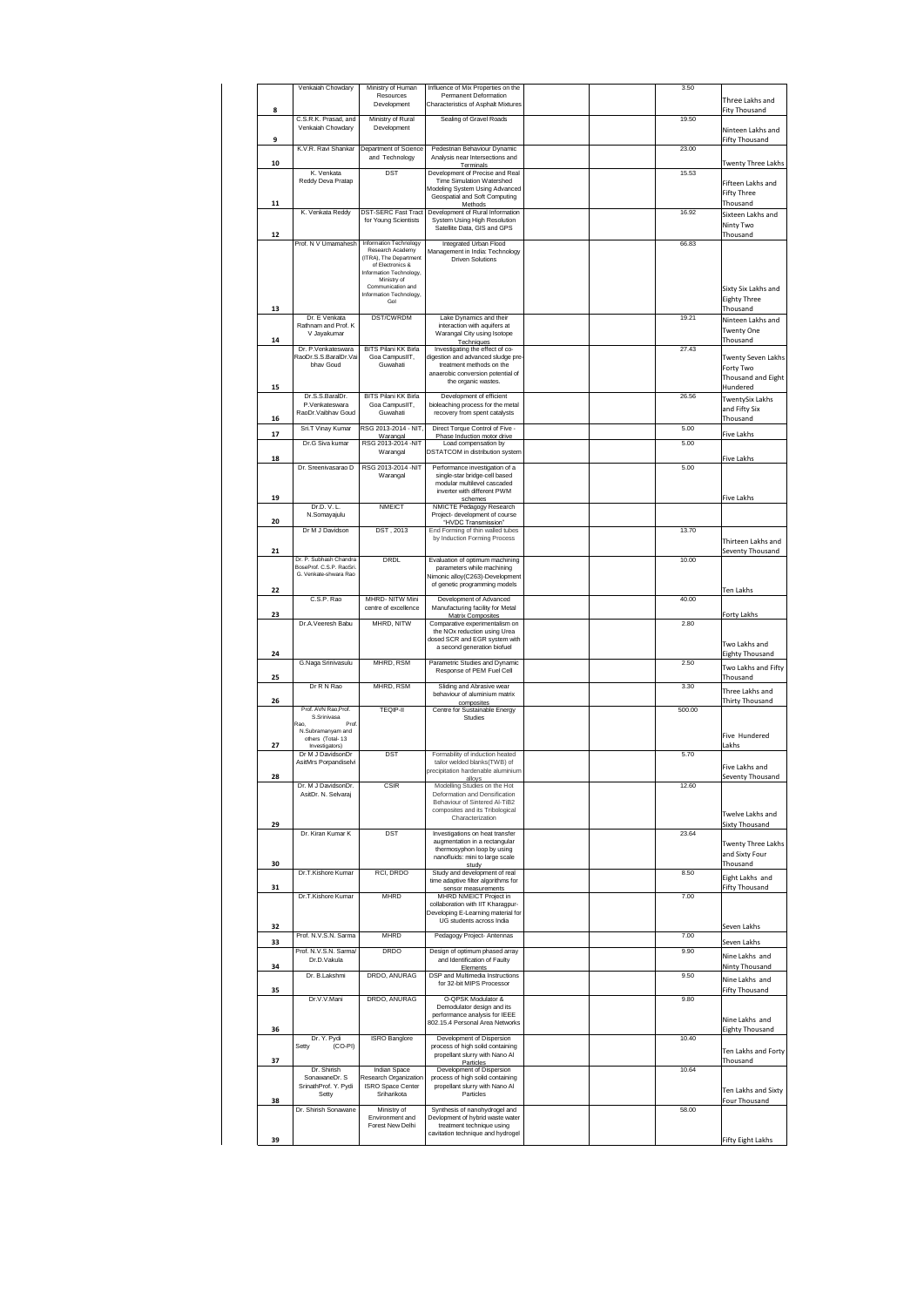|          | Venkaiah Chowdary                                             | Ministry of Human<br><b>Resources</b><br>Development                                                                                                            | Influence of Mix Properties on the<br><b>Permanent Deformation</b><br><b>Characteristics of Asphalt Mixtures</b>              |  | 3.50   | Three Lakhs and                                                   |
|----------|---------------------------------------------------------------|-----------------------------------------------------------------------------------------------------------------------------------------------------------------|-------------------------------------------------------------------------------------------------------------------------------|--|--------|-------------------------------------------------------------------|
| 8        | C.S.R.K. Prasad, and<br>Venkaiah Chowdary                     | Ministry of Rural<br>Development                                                                                                                                | Sealing of Gravel Roads                                                                                                       |  | 19.50  | <b>Fity Thousand</b><br>Ninteen Lakhs and                         |
| 9        | K.V.R. Ravi Shankar                                           | Department of Science                                                                                                                                           | Pedestrian Behaviour Dynamic                                                                                                  |  | 23.00  | <b>Fifty Thousand</b>                                             |
| 10       | K. Venkata                                                    | and Technology<br><b>DST</b>                                                                                                                                    | Analysis near Intersections and<br>Terminals<br>Development of Precise and Real                                               |  | 15.53  | <b>Twenty Three Lakhs</b>                                         |
|          | Reddy Deva Pratap                                             |                                                                                                                                                                 | <b>Time Simulation Watershed</b><br>Modeling System Using Advanced<br>Geospatial and Soft Computing                           |  |        | Fifteen Lakhs and<br><b>Fifty Three</b>                           |
| 11       | K. Venkata Reddy                                              | <b>DST-SERC Fast Tract</b><br>for Young Scientists                                                                                                              | Methods<br>Development of Rural Information<br>System Using High Resolution                                                   |  | 16.92  | Thousand<br>Sixteen Lakhs and                                     |
| 12       | Prof. N V Umamahesh                                           | Information Technology                                                                                                                                          | Satellite Data, GIS and GPS<br>Integrated Urban Flood                                                                         |  | 66.83  | Ninty Two<br>Thousand                                             |
|          |                                                               | Research Academy<br>(ITRA), The Department<br>of Electronics &<br>Information Technology,<br>Ministry of<br>Communication and<br>Information Technology,<br>Gol | Management in India: Technology<br><b>Driven Solutions</b>                                                                    |  |        | Sixty Six Lakhs and<br><b>Eighty Three</b>                        |
| 13       | Dr. E Venkata<br>Rathnam and Prof. K                          | DST/CWRDM                                                                                                                                                       | Lake Dynamics and their<br>interaction with aquifers at                                                                       |  | 19.21  | Thousand<br>Ninteen Lakhs and                                     |
| 14       | V Jayakumar<br>Dr. P.Venkateswara                             | <b>BITS Pilani KK Birla</b>                                                                                                                                     | Warangal City using Isotope<br>Techniques<br>Investigating the effect of co-                                                  |  | 27.43  | <b>Twenty One</b><br>Thousand                                     |
| 15       | RaoDr.S.S.BaralDr.Vai<br>bhav Goud                            | Goa CampusIIT,<br>Guwahati                                                                                                                                      | digestion and advanced sludge pre-<br>treatment methods on the<br>anaerobic conversion potential of<br>the organic wastes.    |  |        | Twenty Seven Lakhs<br>Forty Two<br>Thousand and Eight<br>Hundered |
|          | Dr.S.S.BaralDr.<br>P.Venkateswara<br>RaoDr.Vaibhav Goud       | BITS Pilani KK Birla<br>Goa CampusIIT,<br>Guwahati                                                                                                              | Development of efficient<br>bioleaching process for the metal<br>recovery from spent catalysts                                |  | 26.56  | <b>TwentySix Lakhs</b><br>and Fifty Six                           |
| 16<br>17 | Sri.T Vinay Kumar                                             | RSG 2013-2014 - NIT<br>Warangal                                                                                                                                 | Direct Torque Control of Five -<br>Phase Induction motor drive                                                                |  | 5.00   | Thousand<br><b>Five Lakhs</b>                                     |
| 18       | Dr.G Siva kumar                                               | RSG 2013-2014 -NIT<br>Warangal                                                                                                                                  | Load compensation by<br><b>DSTATCOM</b> in distribution system                                                                |  | 5.00   | <b>Five Lakhs</b>                                                 |
|          | Dr. Sreenivasarao D                                           | RSG 2013-2014 -NIT<br>Warangal                                                                                                                                  | Performance investigation of a<br>single-star bridge-cell based<br>modular multilevel cascaded<br>inverter with different PWM |  | 5.00   |                                                                   |
| 19       | Dr.D. V. L.<br>N.Somayajulu                                   | <b>NMEICT</b>                                                                                                                                                   | schemes<br>NMICTE Pedagogy Research<br>Project- development of course                                                         |  |        | <b>Five Lakhs</b>                                                 |
| 20       | Dr M J Davidson                                               | DST, 2013                                                                                                                                                       | "HVDC Transmission"<br>End Forming of thin walled tubes                                                                       |  | 13.70  |                                                                   |
| 21       | Dr. P. Subhash Chandra<br>BoseProf. C.S.P. RaoSri.            | <b>DRDL</b>                                                                                                                                                     | by Induction Forming Process<br>Evaluation of optimum machining<br>parameters while machining                                 |  | 10.00  | Thirteen Lakhs and<br>Seventy Thousand                            |
| 22       | G. Venkate-shwara Rao                                         |                                                                                                                                                                 | Nimonic alloy(C263)-Development<br>of genetic programming models                                                              |  |        | <b>Ten Lakhs</b>                                                  |
| 23       | C.S.P. Rao                                                    | MHRD-NITW Mini<br>centre of excellence                                                                                                                          | Development of Advanced<br>Manufacturing facility for Metal                                                                   |  | 40.00  | <b>Forty Lakhs</b>                                                |
|          | Dr.A.Veeresh Babu                                             | MHRD, NITW                                                                                                                                                      | <b>Matrix Composites</b><br>Comparative experimentalism on<br>the NOx reduction using Urea<br>dosed SCR and EGR system with   |  | 2.80   |                                                                   |
| 24       | G.Naga Srinivasulu                                            | MHRD, RSM                                                                                                                                                       | a second generation biofuel<br>Parametric Studies and Dynamic                                                                 |  | 2.50   | Two Lakhs and<br><b>Eighty Thousand</b>                           |
| 25       | Dr R N Rao                                                    | MHRD, RSM                                                                                                                                                       | Response of PEM Fuel Cell<br>Sliding and Abrasive wear                                                                        |  | 3.30   | Two Lakhs and Fifty<br>Thousand                                   |
| 26       |                                                               |                                                                                                                                                                 | behaviour of aluminium matrix<br>composites                                                                                   |  |        | Three Lakhs and<br><b>Thirty Thousand</b>                         |
|          | Prof. AVN Rao, Prof.<br>S.Srinivasa<br>Prof.<br>Rao,          | <b>TEQIP-II</b>                                                                                                                                                 | Centre for Sustainable Energy<br><b>Studies</b>                                                                               |  | 500.00 |                                                                   |
| 27       | N.Subramanyam and<br>others (Total-13<br>Investigators)       |                                                                                                                                                                 |                                                                                                                               |  |        | Five Hundered<br>Lakhs                                            |
|          | Dr M J DavidsonDr<br>AsitMrs Porpandiselvi                    | <b>DST</b>                                                                                                                                                      | Formability of induction heated<br>tailor welded blanks(TWB) of<br>precipitation hardenable aluminium                         |  | 5.70   | Five Lakhs and                                                    |
| 28       | Dr. M J DavidsonDr.<br>AsitDr. N. Selvaraj                    | <b>CSIR</b>                                                                                                                                                     | allovs<br>Modelling Studies on the Hot<br>Deformation and Densification                                                       |  | 12.60  | Seventy Thousand                                                  |
|          |                                                               |                                                                                                                                                                 | Behaviour of Sintered Al-TiB2<br>composites and its Tribological<br>Characterization                                          |  |        | Twelve Lakhs and                                                  |
| 29       | Dr. Kiran Kumar K                                             | <b>DST</b>                                                                                                                                                      | Investigations on heat transfer                                                                                               |  | 23.64  | <b>Sixty Thousand</b>                                             |
| 30       |                                                               |                                                                                                                                                                 | augmentation in a rectangular<br>thermosyphon loop by using<br>nanofluids: mini to large scale                                |  |        | <b>Twenty Three Lakhs</b><br>and Sixty Four<br>Thousand           |
|          | Dr.T.Kishore Kumar                                            | RCI, DRDO                                                                                                                                                       | study<br>Study and development of real<br>time adaptive filter algorithms for                                                 |  | 8.50   | Eight Lakhs and                                                   |
| 31       | Dr.T.Kishore Kumar                                            | <b>MHRD</b>                                                                                                                                                     | sensor measurements<br>MHRD NMEICT Project in<br>collaboration with IIT Kharagpur-                                            |  | 7.00   | <b>Fifty Thousand</b>                                             |
| 32       |                                                               |                                                                                                                                                                 | Developing E-Learning material for<br>UG students across India                                                                |  |        | Seven Lakhs                                                       |
| 33       | Prof. N.V.S.N. Sarma                                          | <b>MHRD</b>                                                                                                                                                     | Pedagogy Project- Antennas                                                                                                    |  | 7.00   | Seven Lakhs                                                       |
| 34       | Prof. N.V.S.N. Sarma/<br>Dr.D.Vakula                          | <b>DRDO</b>                                                                                                                                                     | Design of optimum phased array<br>and Identification of Faulty<br>Elements                                                    |  | 9.90   | Nine Lakhs and<br>Ninty Thousand                                  |
| 35       | Dr. B.Lakshmi                                                 | DRDO, ANURAG                                                                                                                                                    | <b>DSP and Multimedia Instructions</b><br>for 32-bit MIPS Processor                                                           |  | 9.50   | Nine Lakhs and<br><b>Fifty Thousand</b>                           |
|          | Dr.V.V.Mani                                                   | DRDO, ANURAG                                                                                                                                                    | O-QPSK Modulator &<br>Demodulator design and its<br>performance analysis for IEEE<br>802.15.4 Personal Area Networks          |  | 9.80   | Nine Lakhs and                                                    |
| 36       | Dr. Y. Pydi                                                   | <b>ISRO Banglore</b>                                                                                                                                            | Development of Dispersion                                                                                                     |  | 10.40  | <b>Eighty Thousand</b>                                            |
| 37       | $(CO-PI)$<br>Setty                                            |                                                                                                                                                                 | process of high solid containing<br>propellant slurry with Nano Al<br>Particles                                               |  |        | Ten Lakhs and Forty<br>Thousand                                   |
| 38       | Dr. Shirish<br>SonawaneDr. S<br>SrinathProf. Y. Pydi<br>Setty | Indian Space<br>Research Organization<br><b>ISRO Space Center</b><br>Sriharikota                                                                                | Development of Dispersion<br>process of high solid containing<br>propellant slurry with Nano Al<br>Particles                  |  | 10.64  | Ten Lakhs and Sixty<br><b>Four Thousand</b>                       |
|          | Dr. Shirish Sonawane                                          | Ministry of<br>Environment and                                                                                                                                  | Synthesis of nanohydrogel and<br>Devlopment of hybrid waste water                                                             |  | 58.00  |                                                                   |
| 39       |                                                               | Forest New Delhi                                                                                                                                                | treatment technique using<br>cavitation technique and hydrogel                                                                |  |        | <b>Fifty Eight Lakhs</b>                                          |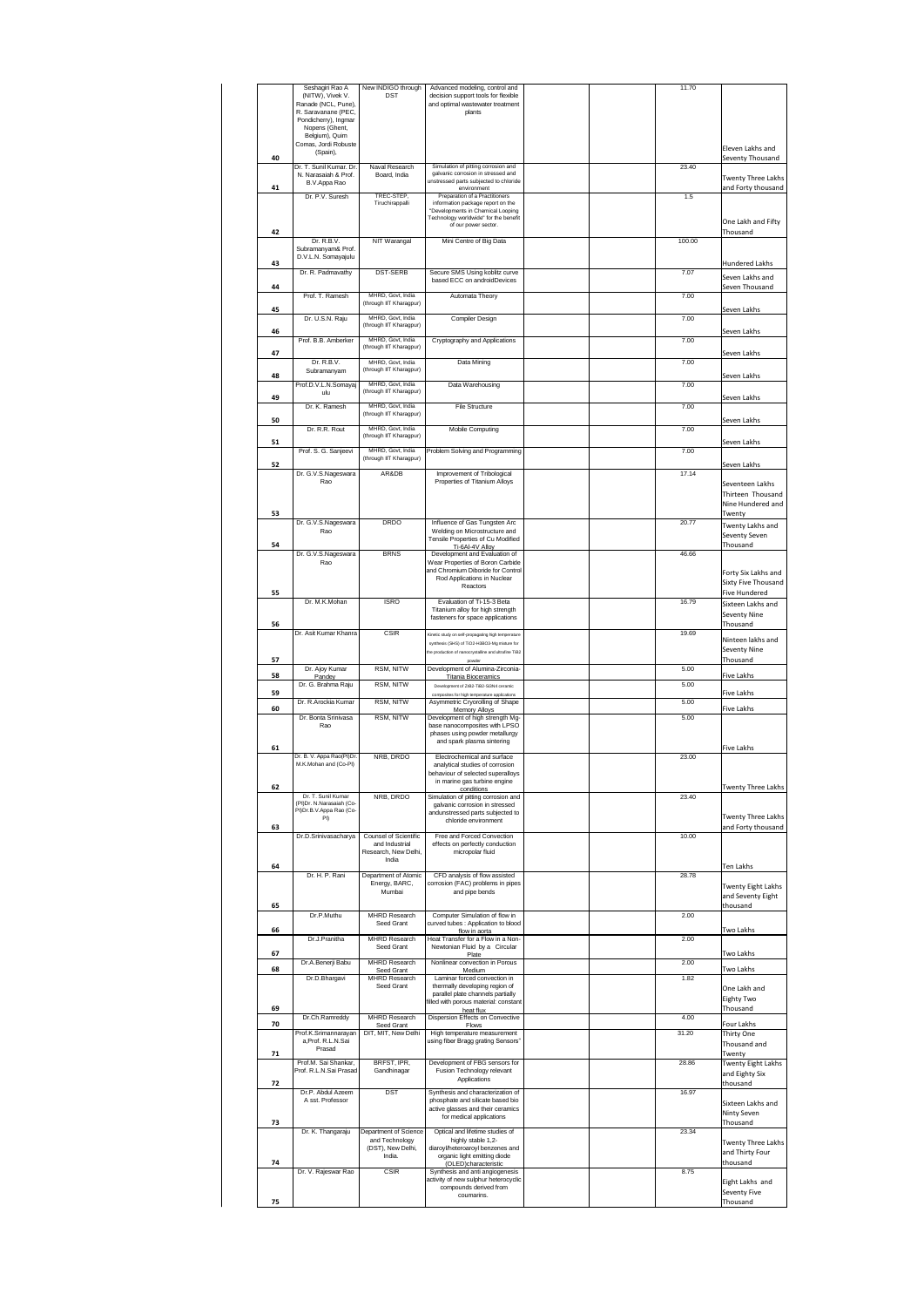|          | Seshagiri Rao A<br>(NITW), Vivek V.                                       | New INDIGO through<br><b>DST</b>                                       | Advanced modeling, control and<br>decision support tools for flexible                                           |  | 11.70        |                                                      |
|----------|---------------------------------------------------------------------------|------------------------------------------------------------------------|-----------------------------------------------------------------------------------------------------------------|--|--------------|------------------------------------------------------|
|          | Ranade (NCL, Pune),<br>R. Saravanane (PEC,<br>Pondicherry), Ingmar        |                                                                        | and optimal wastewater treatment<br>plants                                                                      |  |              |                                                      |
|          | Nopens (Ghent,<br>Belgium), Quim                                          |                                                                        |                                                                                                                 |  |              |                                                      |
| 40       | Comas, Jordi Robuste<br>(Spain),                                          |                                                                        |                                                                                                                 |  |              | Eleven Lakhs and<br>Seventy Thousand                 |
|          | Dr. T. Sunil Kumar. Dr.<br>N. Narasaiah & Prof.                           | Naval Research<br>Board, India                                         | Simulation of pitting corrosion and<br>galvanic corrosion in stressed and                                       |  | 23.40        | <b>Twenty Three Lakhs</b>                            |
| 41       | B.V.Appa Rao<br>Dr. P.V. Suresh                                           | TREC-STEP,                                                             | unstressed parts subjected to chloride<br>environment<br>Preparation of a Practitioners                         |  | 1.5          | and Forty thousand                                   |
|          |                                                                           | Tiruchirappalli                                                        | information package report on the<br>"Developments in Chemical Looping<br>Technology worldwide" for the benefit |  |              |                                                      |
| 42       | Dr. R.B.V.                                                                |                                                                        | of our power sector.                                                                                            |  |              | One Lakh and Fifty<br>Thousand                       |
|          | Subramanyam& Prof.<br>D.V.L.N. Somayajulu                                 | NIT Warangal                                                           | Mini Centre of Big Data                                                                                         |  | 100.00       |                                                      |
| 43       | Dr. R. Padmavathy                                                         | <b>DST-SERB</b>                                                        | Secure SMS Using koblitz curve<br>based ECC on androidDevices                                                   |  | 7.07         | <b>Hundered Lakhs</b><br>Seven Lakhs and             |
| 44       | Prof. T. Ramesh                                                           | MHRD, Govt, India                                                      | Automata Theory                                                                                                 |  | 7.00         | Seven Thousand                                       |
| 45       | Dr. U.S.N. Raju                                                           | (through IIT Kharagpur)<br>MHRD, Govt, India                           | Compiler Design                                                                                                 |  | 7.00         | Seven Lakhs                                          |
| 46       | Prof. B.B. Amberker                                                       | (through IIT Kharagpur)<br>MHRD, Govt, India                           | Cryptography and Applications                                                                                   |  | 7.00         | Seven Lakhs                                          |
| 47       | Dr. R.B.V.                                                                | (through IIT Kharagpur)<br>MHRD, Govt, India                           | Data Mining                                                                                                     |  | 7.00         | Seven Lakhs                                          |
| 48       | Subramanyam                                                               | (through IIT Kharagpur)<br>MHRD, Govt, India                           |                                                                                                                 |  |              | Seven Lakhs                                          |
| 49       | Prof.D.V.L.N.Somayaj<br>ulu                                               | (through IIT Kharagpur)                                                | Data Warehousing                                                                                                |  | 7.00         | Seven Lakhs                                          |
| 50       | Dr. K. Ramesh                                                             | MHRD, Govt, India<br>(through IIT Kharagpur)                           | <b>File Structure</b>                                                                                           |  | 7.00         | Seven Lakhs                                          |
| 51       | Dr. R.R. Rout                                                             | MHRD, Govt, India<br>(through IIT Kharagpur)                           | Mobile Computing                                                                                                |  | 7.00         | Seven Lakhs                                          |
| 52       | Prof. S. G. Sanjeevi                                                      | MHRD, Govt, India<br>(through IIT Kharagpur)                           | Problem Solving and Programming                                                                                 |  | 7.00         |                                                      |
|          | Dr. G.V.S.Nageswara<br>Rao                                                | AR&DB                                                                  | Improvement of Tribological<br>Properties of Titanium Alloys                                                    |  | 17.14        | Seven Lakhs<br>Seventeen Lakhs                       |
|          |                                                                           |                                                                        |                                                                                                                 |  |              | Thirteen Thousand<br>Nine Hundered and               |
| 53       | Dr. G.V.S.Nageswara                                                       | <b>DRDO</b>                                                            | Influence of Gas Tungsten Arc                                                                                   |  | 20.77        | Twenty                                               |
| 54       | Rao                                                                       |                                                                        | Welding on Microstructure and<br>Tensile Properties of Cu Modified                                              |  |              | Twenty Lakhs and<br><b>Seventy Seven</b><br>Thousand |
|          | Dr. G.V.S.Nageswara<br>Rao                                                | <b>BRNS</b>                                                            | Ti-6Al-4V Alloy<br>Development and Evaluation of<br>Wear Properties of Boron Carbide                            |  | 46.66        |                                                      |
|          |                                                                           |                                                                        | and Chromium Diboride for Control<br>Rod Applications in Nuclear<br>Reactors                                    |  |              | Forty Six Lakhs and<br><b>Sixty Five Thousand</b>    |
| 55       | Dr. M.K.Mohan                                                             | <b>ISRO</b>                                                            | Evaluation of Ti-15-3 Beta                                                                                      |  | 16.79        | <b>Five Hundered</b><br>Sixteen Lakhs and            |
| 56       |                                                                           |                                                                        | Titanium alloy for high strength<br>fasteners for space applications                                            |  |              | <b>Seventy Nine</b><br>Thousand                      |
|          | Dr. Asit Kumar Khanra                                                     | <b>CSIR</b>                                                            | Kinetic study on self-propagating high temperature<br>synthesis (SHS) of TiO2-H3BO3-Mg mixture for              |  | 19.69        | Ninteen lakhs and                                    |
| 57       |                                                                           |                                                                        | the production of nanocrystalline and ultrafine TiB2<br>powder                                                  |  |              | <b>Seventy Nine</b><br>Thousand                      |
| 58       | Dr. Ajoy Kumar<br>Pandey<br>Dr. G. Brahma Raju                            | RSM, NITW<br>RSM, NITW                                                 | Development of Alumina-Zirconia-<br><b>Titania Bioceramics</b><br>Development of ZrB2-TiB2-Si3N4 ceramic        |  | 5.00<br>5.00 | <b>Five Lakhs</b>                                    |
| 59<br>60 | Dr. R. Arockia Kumar                                                      | RSM, NITW                                                              | composites for high temperature applications<br>Asymmetric Cryorolling of Shape                                 |  | 5.00         | <b>Five Lakhs</b><br>Five Lakhs                      |
|          | Dr. Bonta Srinivasa<br>Rao                                                | RSM, NITW                                                              | <b>Memory Alloys</b><br>Development of high strength Mg-<br>base nanocomposites with LPSO                       |  | 5.00         |                                                      |
| 61       |                                                                           |                                                                        | phases using powder metallurgy<br>and spark plasma sintering                                                    |  |              | <b>Five Lakhs</b>                                    |
|          | Dr. B. V. Appa Rao(PI)Dr.<br>M.K.Mohan and (Co-PI)                        | NRB, DRDO                                                              | Electrochemical and surface<br>analytical studies of corrosion                                                  |  | 23.00        |                                                      |
| 62       |                                                                           |                                                                        | behaviour of selected superalloys<br>in marine gas turbine engine<br>conditions                                 |  |              | <b>Twenty Three Lakhs</b>                            |
|          | Dr. T. Sunil Kumar<br>(PI)Dr. N.Narasaiah (Co-<br>PI)Dr.B.V.Appa Rao (Co- | NRB, DRDO                                                              | Simulation of pitting corrosion and<br>galvanic corrosion in stressed                                           |  | 23.40        |                                                      |
| 63       | PI)                                                                       |                                                                        | andunstressed parts subjected to<br>chloride environment                                                        |  |              | <b>Twenty Three Lakhs</b><br>and Forty thousand      |
|          | Dr.D.Srinivasacharya                                                      | <b>Counsel of Scientific</b><br>and Industrial<br>Research, New Delhi, | Free and Forced Convection<br>effects on perfectly conduction<br>micropolar fluid                               |  | 10.00        |                                                      |
| 64       |                                                                           | India                                                                  |                                                                                                                 |  |              | Ten Lakhs                                            |
|          | Dr. H. P. Rani                                                            | Department of Atomic<br>Energy, BARC,<br>Mumbai                        | CFD analysis of flow assisted<br>corrosion (FAC) problems in pipes<br>and pipe bends                            |  | 28.78        | Twenty Eight Lakhs                                   |
| 65       |                                                                           |                                                                        |                                                                                                                 |  |              | and Seventy Eight<br>thousand                        |
| 66       | Dr.P.Muthu                                                                | <b>MHRD Research</b><br>Seed Grant                                     | Computer Simulation of flow in<br>curved tubes : Application to blood<br>flow in aorta                          |  | 2.00         | Two Lakhs                                            |
| 67       | Dr.J.Pranitha                                                             | <b>MHRD Research</b><br>Seed Grant                                     | Heat Transfer for a Flow in a Non-<br>Newtonian Fluid by a Circular<br>Plate                                    |  | 2.00         | Two Lakhs                                            |
| 68       | Dr.A.Benerji Babu                                                         | <b>MHRD Research</b><br>Seed Grant                                     | Nonlinear convection in Porous<br>Medium                                                                        |  | 2.00         | Two Lakhs                                            |
|          | Dr.D.Bhargavi                                                             | MHRD Research<br>Seed Grant                                            | Laminar forced convection in<br>thermally developing region of<br>parallel plate channels partially             |  | 1.82         | One Lakh and                                         |
| 69       | Dr.Ch.Ramreddy                                                            | <b>MHRD Research</b>                                                   | filled with porous material: constant<br>heat flux<br>Dispersion Effects on Convective                          |  | 4.00         | <b>Eighty Two</b><br>Thousand                        |
| 70       | Prof.K.Srimannarayan                                                      | Seed Grant<br>DIT, MIT, New Delhi                                      | <b>Flows</b><br>High temperature measurement                                                                    |  | 31.20        | <b>Four Lakhs</b><br>Thirty One                      |
| 71       | a, Prof. R.L.N.Sai<br>Prasad                                              |                                                                        | using fiber Bragg grating Sensors"                                                                              |  |              | Thousand and<br>Twenty                               |
|          | Prof.M. Sai Shankar,<br>Prof. R.L.N.Sai Prasad                            | BRFST, IPR,<br>Gandhinagar                                             | Development of FBG sensors for<br>Fusion Technology relevant<br>Applications                                    |  | 28.86        | Twenty Eight Lakhs<br>and Eighty Six                 |
| 72       | Dr.P. Abdul Azeem                                                         | <b>DST</b>                                                             | Synthesis and characterization of                                                                               |  | 16.97        | thousand                                             |
|          | A sst. Professor                                                          |                                                                        | phosphate and silicate based bio<br>active glasses and their ceramics<br>for medical applications               |  |              | Sixteen Lakhs and<br><b>Ninty Seven</b>              |
| 73       | Dr. K. Thangaraju                                                         | Department of Science<br>and Technology                                | Optical and lifetime studies of<br>highly stable 1,2-                                                           |  | 23.34        | Thousand                                             |
|          |                                                                           | (DST), New Delhi,<br>India.                                            | diaroyl/heteroaroyl benzenes and<br>organic light emitting diode                                                |  |              | <b>Twenty Three Lakhs</b><br>and Thirty Four         |
| 74       | Dr. V. Rajeswar Rao                                                       | <b>CSIR</b>                                                            | (OLED)characteristic<br>Synthesis and anti angiogenesis<br>activity of new sulphur heterocyclic                 |  | 8.75         | thousand                                             |
| 75       |                                                                           |                                                                        | compounds derived from<br>coumarins.                                                                            |  |              | Eight Lakhs and<br><b>Seventy Five</b><br>Thousand   |